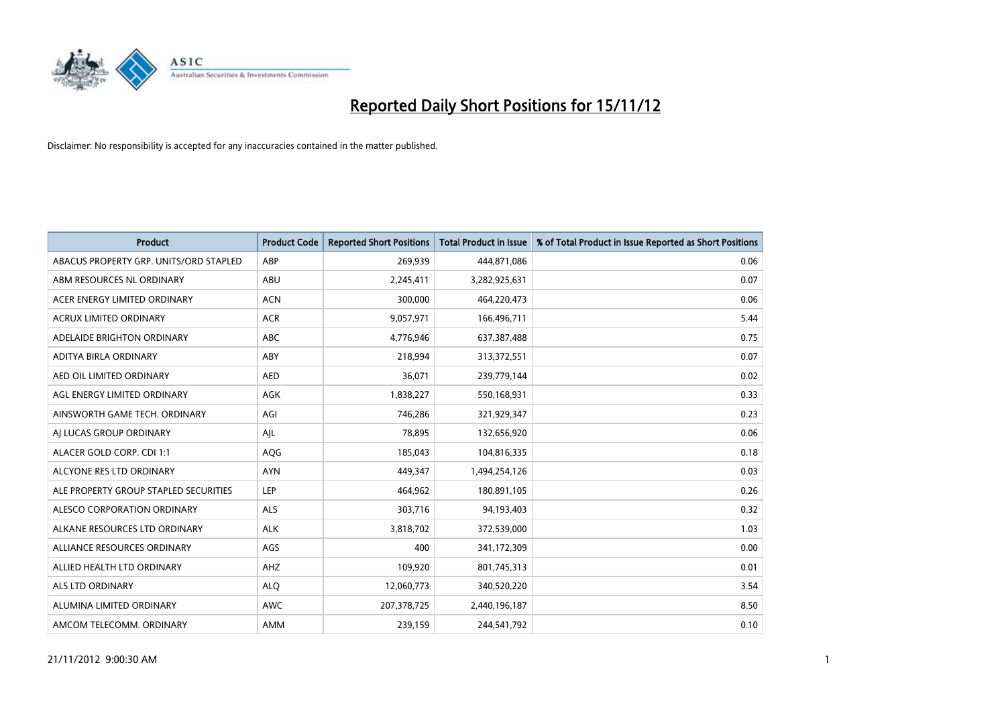

| <b>Product</b>                         | <b>Product Code</b> | <b>Reported Short Positions</b> | <b>Total Product in Issue</b> | % of Total Product in Issue Reported as Short Positions |
|----------------------------------------|---------------------|---------------------------------|-------------------------------|---------------------------------------------------------|
| ABACUS PROPERTY GRP. UNITS/ORD STAPLED | ABP                 | 269,939                         | 444,871,086                   | 0.06                                                    |
| ABM RESOURCES NL ORDINARY              | ABU                 | 2,245,411                       | 3,282,925,631                 | 0.07                                                    |
| ACER ENERGY LIMITED ORDINARY           | <b>ACN</b>          | 300,000                         | 464,220,473                   | 0.06                                                    |
| ACRUX LIMITED ORDINARY                 | <b>ACR</b>          | 9,057,971                       | 166,496,711                   | 5.44                                                    |
| ADELAIDE BRIGHTON ORDINARY             | <b>ABC</b>          | 4,776,946                       | 637,387,488                   | 0.75                                                    |
| ADITYA BIRLA ORDINARY                  | ABY                 | 218,994                         | 313,372,551                   | 0.07                                                    |
| AED OIL LIMITED ORDINARY               | <b>AED</b>          | 36,071                          | 239,779,144                   | 0.02                                                    |
| AGL ENERGY LIMITED ORDINARY            | <b>AGK</b>          | 1,838,227                       | 550,168,931                   | 0.33                                                    |
| AINSWORTH GAME TECH. ORDINARY          | AGI                 | 746,286                         | 321,929,347                   | 0.23                                                    |
| AI LUCAS GROUP ORDINARY                | AJL                 | 78,895                          | 132,656,920                   | 0.06                                                    |
| ALACER GOLD CORP. CDI 1:1              | AQG                 | 185,043                         | 104,816,335                   | 0.18                                                    |
| ALCYONE RES LTD ORDINARY               | <b>AYN</b>          | 449.347                         | 1,494,254,126                 | 0.03                                                    |
| ALE PROPERTY GROUP STAPLED SECURITIES  | LEP                 | 464,962                         | 180,891,105                   | 0.26                                                    |
| <b>ALESCO CORPORATION ORDINARY</b>     | ALS                 | 303,716                         | 94,193,403                    | 0.32                                                    |
| ALKANE RESOURCES LTD ORDINARY          | <b>ALK</b>          | 3,818,702                       | 372,539,000                   | 1.03                                                    |
| ALLIANCE RESOURCES ORDINARY            | AGS                 | 400                             | 341,172,309                   | 0.00                                                    |
| ALLIED HEALTH LTD ORDINARY             | AHZ                 | 109,920                         | 801,745,313                   | 0.01                                                    |
| <b>ALS LTD ORDINARY</b>                | <b>ALQ</b>          | 12,060,773                      | 340,520,220                   | 3.54                                                    |
| ALUMINA LIMITED ORDINARY               | <b>AWC</b>          | 207,378,725                     | 2,440,196,187                 | 8.50                                                    |
| AMCOM TELECOMM, ORDINARY               | <b>AMM</b>          | 239.159                         | 244,541,792                   | 0.10                                                    |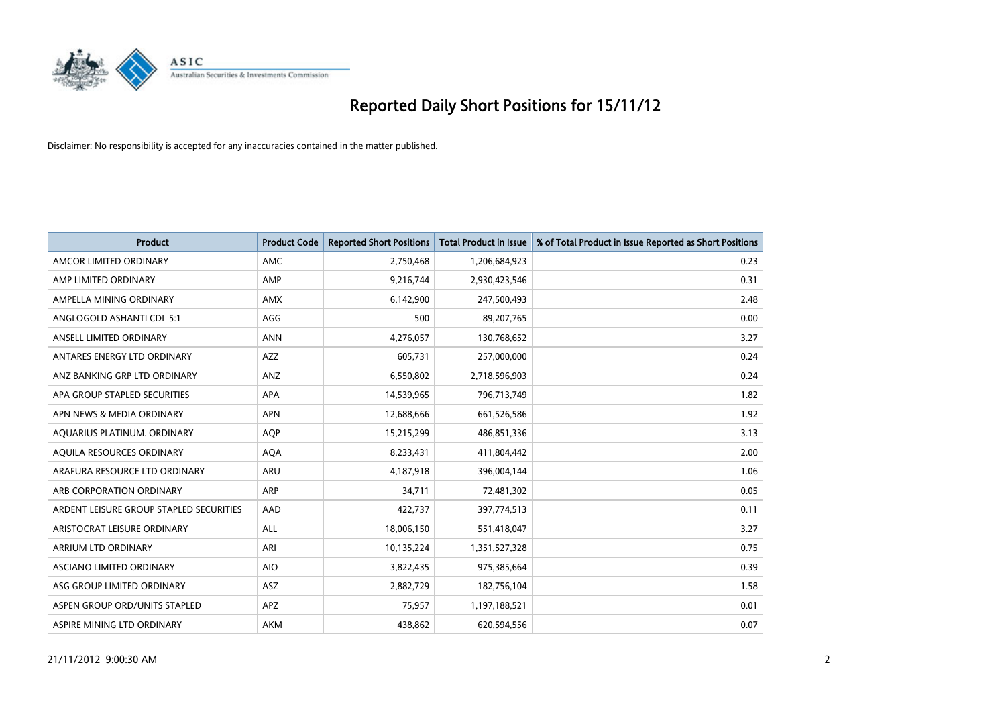

| <b>Product</b>                          | <b>Product Code</b> | <b>Reported Short Positions</b> | <b>Total Product in Issue</b> | % of Total Product in Issue Reported as Short Positions |
|-----------------------------------------|---------------------|---------------------------------|-------------------------------|---------------------------------------------------------|
| AMCOR LIMITED ORDINARY                  | AMC                 | 2,750,468                       | 1,206,684,923                 | 0.23                                                    |
| AMP LIMITED ORDINARY                    | AMP                 | 9,216,744                       | 2,930,423,546                 | 0.31                                                    |
| AMPELLA MINING ORDINARY                 | <b>AMX</b>          | 6,142,900                       | 247,500,493                   | 2.48                                                    |
| ANGLOGOLD ASHANTI CDI 5:1               | AGG                 | 500                             | 89,207,765                    | 0.00                                                    |
| ANSELL LIMITED ORDINARY                 | <b>ANN</b>          | 4,276,057                       | 130,768,652                   | 3.27                                                    |
| ANTARES ENERGY LTD ORDINARY             | AZZ                 | 605,731                         | 257,000,000                   | 0.24                                                    |
| ANZ BANKING GRP LTD ORDINARY            | <b>ANZ</b>          | 6,550,802                       | 2,718,596,903                 | 0.24                                                    |
| APA GROUP STAPLED SECURITIES            | <b>APA</b>          | 14,539,965                      | 796,713,749                   | 1.82                                                    |
| APN NEWS & MEDIA ORDINARY               | <b>APN</b>          | 12,688,666                      | 661,526,586                   | 1.92                                                    |
| AQUARIUS PLATINUM. ORDINARY             | <b>AOP</b>          | 15,215,299                      | 486,851,336                   | 3.13                                                    |
| AQUILA RESOURCES ORDINARY               | <b>AQA</b>          | 8,233,431                       | 411,804,442                   | 2.00                                                    |
| ARAFURA RESOURCE LTD ORDINARY           | ARU                 | 4,187,918                       | 396,004,144                   | 1.06                                                    |
| ARB CORPORATION ORDINARY                | <b>ARP</b>          | 34,711                          | 72,481,302                    | 0.05                                                    |
| ARDENT LEISURE GROUP STAPLED SECURITIES | AAD                 | 422,737                         | 397,774,513                   | 0.11                                                    |
| ARISTOCRAT LEISURE ORDINARY             | <b>ALL</b>          | 18,006,150                      | 551,418,047                   | 3.27                                                    |
| ARRIUM LTD ORDINARY                     | ARI                 | 10,135,224                      | 1,351,527,328                 | 0.75                                                    |
| ASCIANO LIMITED ORDINARY                | <b>AIO</b>          | 3,822,435                       | 975,385,664                   | 0.39                                                    |
| ASG GROUP LIMITED ORDINARY              | <b>ASZ</b>          | 2,882,729                       | 182,756,104                   | 1.58                                                    |
| ASPEN GROUP ORD/UNITS STAPLED           | APZ                 | 75,957                          | 1,197,188,521                 | 0.01                                                    |
| ASPIRE MINING LTD ORDINARY              | <b>AKM</b>          | 438,862                         | 620,594,556                   | 0.07                                                    |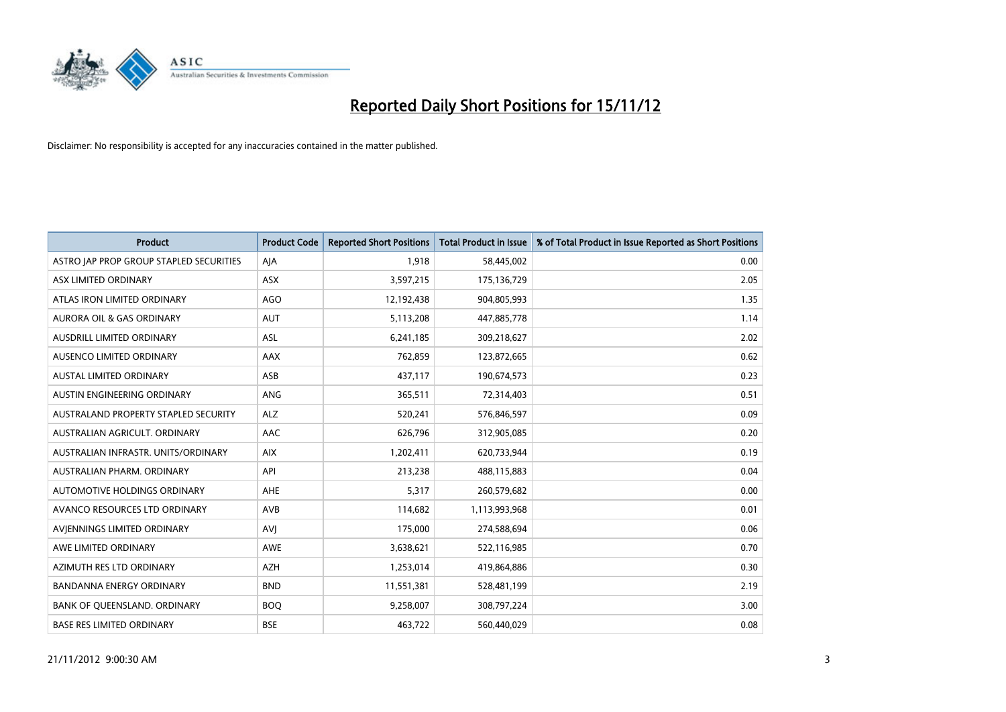

| <b>Product</b>                          | <b>Product Code</b> | <b>Reported Short Positions</b> | Total Product in Issue | % of Total Product in Issue Reported as Short Positions |
|-----------------------------------------|---------------------|---------------------------------|------------------------|---------------------------------------------------------|
| ASTRO JAP PROP GROUP STAPLED SECURITIES | AIA                 | 1.918                           | 58,445,002             | 0.00                                                    |
| ASX LIMITED ORDINARY                    | <b>ASX</b>          | 3,597,215                       | 175,136,729            | 2.05                                                    |
| ATLAS IRON LIMITED ORDINARY             | <b>AGO</b>          | 12,192,438                      | 904,805,993            | 1.35                                                    |
| AURORA OIL & GAS ORDINARY               | <b>AUT</b>          | 5,113,208                       | 447,885,778            | 1.14                                                    |
| AUSDRILL LIMITED ORDINARY               | <b>ASL</b>          | 6,241,185                       | 309,218,627            | 2.02                                                    |
| AUSENCO LIMITED ORDINARY                | AAX                 | 762,859                         | 123,872,665            | 0.62                                                    |
| <b>AUSTAL LIMITED ORDINARY</b>          | ASB                 | 437.117                         | 190,674,573            | 0.23                                                    |
| AUSTIN ENGINEERING ORDINARY             | ANG                 | 365,511                         | 72,314,403             | 0.51                                                    |
| AUSTRALAND PROPERTY STAPLED SECURITY    | <b>ALZ</b>          | 520,241                         | 576,846,597            | 0.09                                                    |
| AUSTRALIAN AGRICULT, ORDINARY           | AAC                 | 626,796                         | 312,905,085            | 0.20                                                    |
| AUSTRALIAN INFRASTR, UNITS/ORDINARY     | <b>AIX</b>          | 1,202,411                       | 620,733,944            | 0.19                                                    |
| AUSTRALIAN PHARM. ORDINARY              | API                 | 213,238                         | 488,115,883            | 0.04                                                    |
| AUTOMOTIVE HOLDINGS ORDINARY            | AHE                 | 5,317                           | 260,579,682            | 0.00                                                    |
| AVANCO RESOURCES LTD ORDINARY           | AVB                 | 114,682                         | 1,113,993,968          | 0.01                                                    |
| AVIENNINGS LIMITED ORDINARY             | AVI                 | 175,000                         | 274,588,694            | 0.06                                                    |
| AWE LIMITED ORDINARY                    | AWE                 | 3,638,621                       | 522,116,985            | 0.70                                                    |
| AZIMUTH RES LTD ORDINARY                | <b>AZH</b>          | 1,253,014                       | 419,864,886            | 0.30                                                    |
| BANDANNA ENERGY ORDINARY                | <b>BND</b>          | 11,551,381                      | 528,481,199            | 2.19                                                    |
| BANK OF OUEENSLAND, ORDINARY            | <b>BOQ</b>          | 9,258,007                       | 308,797,224            | 3.00                                                    |
| <b>BASE RES LIMITED ORDINARY</b>        | <b>BSE</b>          | 463,722                         | 560,440,029            | 0.08                                                    |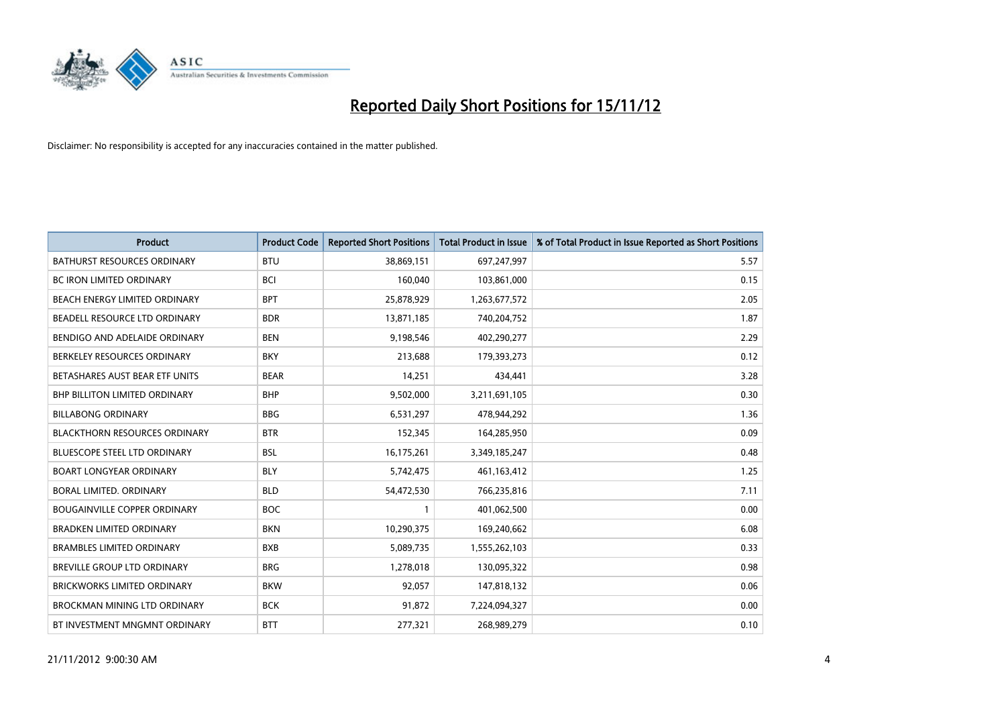

| <b>Product</b>                       | <b>Product Code</b> | <b>Reported Short Positions</b> | <b>Total Product in Issue</b> | % of Total Product in Issue Reported as Short Positions |
|--------------------------------------|---------------------|---------------------------------|-------------------------------|---------------------------------------------------------|
| <b>BATHURST RESOURCES ORDINARY</b>   | <b>BTU</b>          | 38,869,151                      | 697,247,997                   | 5.57                                                    |
| BC IRON LIMITED ORDINARY             | <b>BCI</b>          | 160,040                         | 103,861,000                   | 0.15                                                    |
| BEACH ENERGY LIMITED ORDINARY        | <b>BPT</b>          | 25,878,929                      | 1,263,677,572                 | 2.05                                                    |
| BEADELL RESOURCE LTD ORDINARY        | <b>BDR</b>          | 13,871,185                      | 740,204,752                   | 1.87                                                    |
| BENDIGO AND ADELAIDE ORDINARY        | <b>BEN</b>          | 9,198,546                       | 402,290,277                   | 2.29                                                    |
| BERKELEY RESOURCES ORDINARY          | <b>BKY</b>          | 213,688                         | 179,393,273                   | 0.12                                                    |
| BETASHARES AUST BEAR ETF UNITS       | <b>BEAR</b>         | 14,251                          | 434,441                       | 3.28                                                    |
| BHP BILLITON LIMITED ORDINARY        | <b>BHP</b>          | 9,502,000                       | 3,211,691,105                 | 0.30                                                    |
| <b>BILLABONG ORDINARY</b>            | <b>BBG</b>          | 6,531,297                       | 478,944,292                   | 1.36                                                    |
| <b>BLACKTHORN RESOURCES ORDINARY</b> | <b>BTR</b>          | 152,345                         | 164,285,950                   | 0.09                                                    |
| BLUESCOPE STEEL LTD ORDINARY         | <b>BSL</b>          | 16,175,261                      | 3,349,185,247                 | 0.48                                                    |
| <b>BOART LONGYEAR ORDINARY</b>       | <b>BLY</b>          | 5,742,475                       | 461,163,412                   | 1.25                                                    |
| BORAL LIMITED. ORDINARY              | <b>BLD</b>          | 54,472,530                      | 766,235,816                   | 7.11                                                    |
| <b>BOUGAINVILLE COPPER ORDINARY</b>  | <b>BOC</b>          |                                 | 401,062,500                   | 0.00                                                    |
| <b>BRADKEN LIMITED ORDINARY</b>      | <b>BKN</b>          | 10,290,375                      | 169,240,662                   | 6.08                                                    |
| <b>BRAMBLES LIMITED ORDINARY</b>     | <b>BXB</b>          | 5,089,735                       | 1,555,262,103                 | 0.33                                                    |
| BREVILLE GROUP LTD ORDINARY          | <b>BRG</b>          | 1,278,018                       | 130,095,322                   | 0.98                                                    |
| <b>BRICKWORKS LIMITED ORDINARY</b>   | <b>BKW</b>          | 92,057                          | 147,818,132                   | 0.06                                                    |
| <b>BROCKMAN MINING LTD ORDINARY</b>  | <b>BCK</b>          | 91,872                          | 7,224,094,327                 | 0.00                                                    |
| BT INVESTMENT MNGMNT ORDINARY        | <b>BTT</b>          | 277,321                         | 268,989,279                   | 0.10                                                    |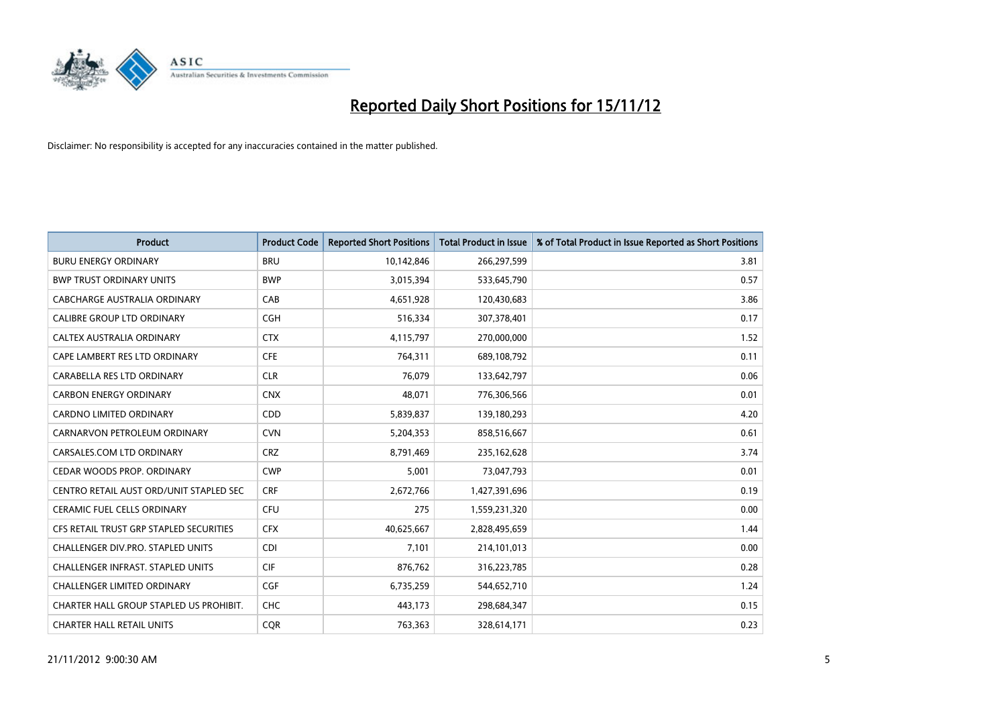

| <b>Product</b>                           | <b>Product Code</b> | <b>Reported Short Positions</b> | Total Product in Issue | % of Total Product in Issue Reported as Short Positions |
|------------------------------------------|---------------------|---------------------------------|------------------------|---------------------------------------------------------|
| <b>BURU ENERGY ORDINARY</b>              | <b>BRU</b>          | 10,142,846                      | 266,297,599            | 3.81                                                    |
| <b>BWP TRUST ORDINARY UNITS</b>          | <b>BWP</b>          | 3,015,394                       | 533,645,790            | 0.57                                                    |
| CABCHARGE AUSTRALIA ORDINARY             | CAB                 | 4,651,928                       | 120,430,683            | 3.86                                                    |
| CALIBRE GROUP LTD ORDINARY               | <b>CGH</b>          | 516,334                         | 307,378,401            | 0.17                                                    |
| CALTEX AUSTRALIA ORDINARY                | <b>CTX</b>          | 4,115,797                       | 270,000,000            | 1.52                                                    |
| CAPE LAMBERT RES LTD ORDINARY            | <b>CFE</b>          | 764,311                         | 689,108,792            | 0.11                                                    |
| CARABELLA RES LTD ORDINARY               | <b>CLR</b>          | 76.079                          | 133,642,797            | 0.06                                                    |
| <b>CARBON ENERGY ORDINARY</b>            | <b>CNX</b>          | 48.071                          | 776,306,566            | 0.01                                                    |
| CARDNO LIMITED ORDINARY                  | <b>CDD</b>          | 5,839,837                       | 139,180,293            | 4.20                                                    |
| CARNARVON PETROLEUM ORDINARY             | <b>CVN</b>          | 5,204,353                       | 858,516,667            | 0.61                                                    |
| CARSALES.COM LTD ORDINARY                | <b>CRZ</b>          | 8,791,469                       | 235,162,628            | 3.74                                                    |
| CEDAR WOODS PROP. ORDINARY               | <b>CWP</b>          | 5,001                           | 73,047,793             | 0.01                                                    |
| CENTRO RETAIL AUST ORD/UNIT STAPLED SEC  | <b>CRF</b>          | 2,672,766                       | 1,427,391,696          | 0.19                                                    |
| <b>CERAMIC FUEL CELLS ORDINARY</b>       | CFU                 | 275                             | 1,559,231,320          | 0.00                                                    |
| CFS RETAIL TRUST GRP STAPLED SECURITIES  | <b>CFX</b>          | 40,625,667                      | 2,828,495,659          | 1.44                                                    |
| CHALLENGER DIV.PRO. STAPLED UNITS        | <b>CDI</b>          | 7,101                           | 214,101,013            | 0.00                                                    |
| <b>CHALLENGER INFRAST, STAPLED UNITS</b> | <b>CIF</b>          | 876,762                         | 316,223,785            | 0.28                                                    |
| <b>CHALLENGER LIMITED ORDINARY</b>       | <b>CGF</b>          | 6,735,259                       | 544,652,710            | 1.24                                                    |
| CHARTER HALL GROUP STAPLED US PROHIBIT.  | <b>CHC</b>          | 443,173                         | 298,684,347            | 0.15                                                    |
| <b>CHARTER HALL RETAIL UNITS</b>         | <b>COR</b>          | 763,363                         | 328,614,171            | 0.23                                                    |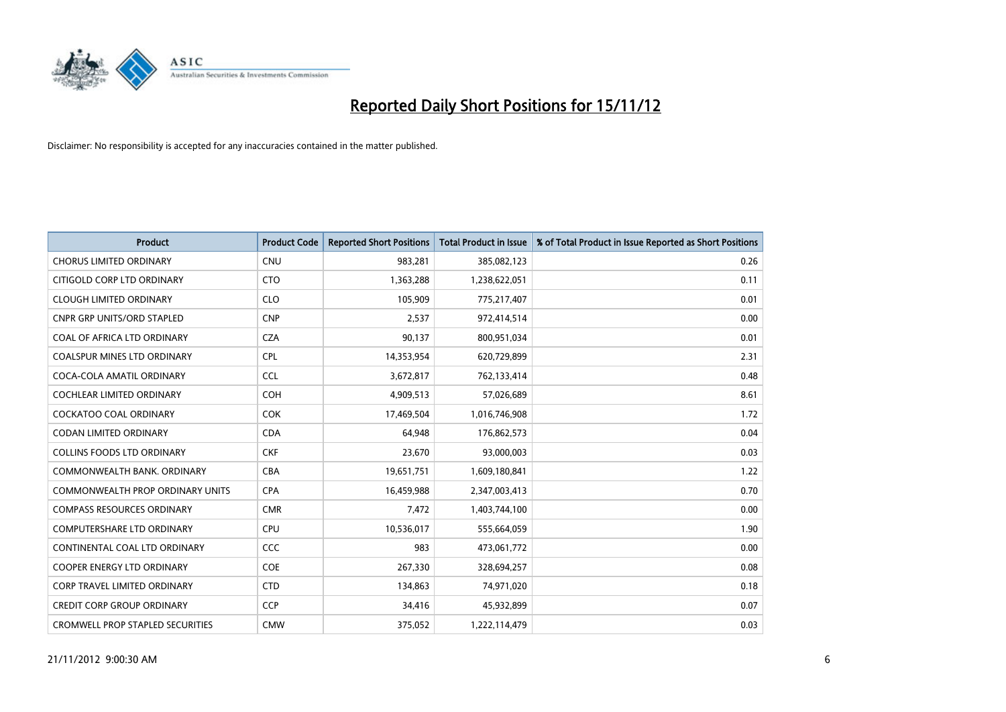

| <b>Product</b>                          | <b>Product Code</b> | <b>Reported Short Positions</b> | <b>Total Product in Issue</b> | % of Total Product in Issue Reported as Short Positions |
|-----------------------------------------|---------------------|---------------------------------|-------------------------------|---------------------------------------------------------|
| <b>CHORUS LIMITED ORDINARY</b>          | <b>CNU</b>          | 983,281                         | 385,082,123                   | 0.26                                                    |
| CITIGOLD CORP LTD ORDINARY              | <b>CTO</b>          | 1,363,288                       | 1,238,622,051                 | 0.11                                                    |
| <b>CLOUGH LIMITED ORDINARY</b>          | <b>CLO</b>          | 105,909                         | 775,217,407                   | 0.01                                                    |
| <b>CNPR GRP UNITS/ORD STAPLED</b>       | <b>CNP</b>          | 2,537                           | 972,414,514                   | 0.00                                                    |
| COAL OF AFRICA LTD ORDINARY             | <b>CZA</b>          | 90,137                          | 800,951,034                   | 0.01                                                    |
| <b>COALSPUR MINES LTD ORDINARY</b>      | <b>CPL</b>          | 14,353,954                      | 620,729,899                   | 2.31                                                    |
| COCA-COLA AMATIL ORDINARY               | <b>CCL</b>          | 3,672,817                       | 762,133,414                   | 0.48                                                    |
| <b>COCHLEAR LIMITED ORDINARY</b>        | <b>COH</b>          | 4,909,513                       | 57,026,689                    | 8.61                                                    |
| <b>COCKATOO COAL ORDINARY</b>           | <b>COK</b>          | 17,469,504                      | 1,016,746,908                 | 1.72                                                    |
| <b>CODAN LIMITED ORDINARY</b>           | <b>CDA</b>          | 64,948                          | 176,862,573                   | 0.04                                                    |
| <b>COLLINS FOODS LTD ORDINARY</b>       | <b>CKF</b>          | 23,670                          | 93,000,003                    | 0.03                                                    |
| COMMONWEALTH BANK, ORDINARY             | <b>CBA</b>          | 19,651,751                      | 1,609,180,841                 | 1.22                                                    |
| <b>COMMONWEALTH PROP ORDINARY UNITS</b> | <b>CPA</b>          | 16,459,988                      | 2,347,003,413                 | 0.70                                                    |
| <b>COMPASS RESOURCES ORDINARY</b>       | <b>CMR</b>          | 7,472                           | 1,403,744,100                 | 0.00                                                    |
| <b>COMPUTERSHARE LTD ORDINARY</b>       | CPU                 | 10,536,017                      | 555,664,059                   | 1.90                                                    |
| CONTINENTAL COAL LTD ORDINARY           | CCC                 | 983                             | 473,061,772                   | 0.00                                                    |
| COOPER ENERGY LTD ORDINARY              | <b>COE</b>          | 267,330                         | 328,694,257                   | 0.08                                                    |
| <b>CORP TRAVEL LIMITED ORDINARY</b>     | <b>CTD</b>          | 134,863                         | 74,971,020                    | 0.18                                                    |
| <b>CREDIT CORP GROUP ORDINARY</b>       | <b>CCP</b>          | 34,416                          | 45,932,899                    | 0.07                                                    |
| <b>CROMWELL PROP STAPLED SECURITIES</b> | <b>CMW</b>          | 375,052                         | 1,222,114,479                 | 0.03                                                    |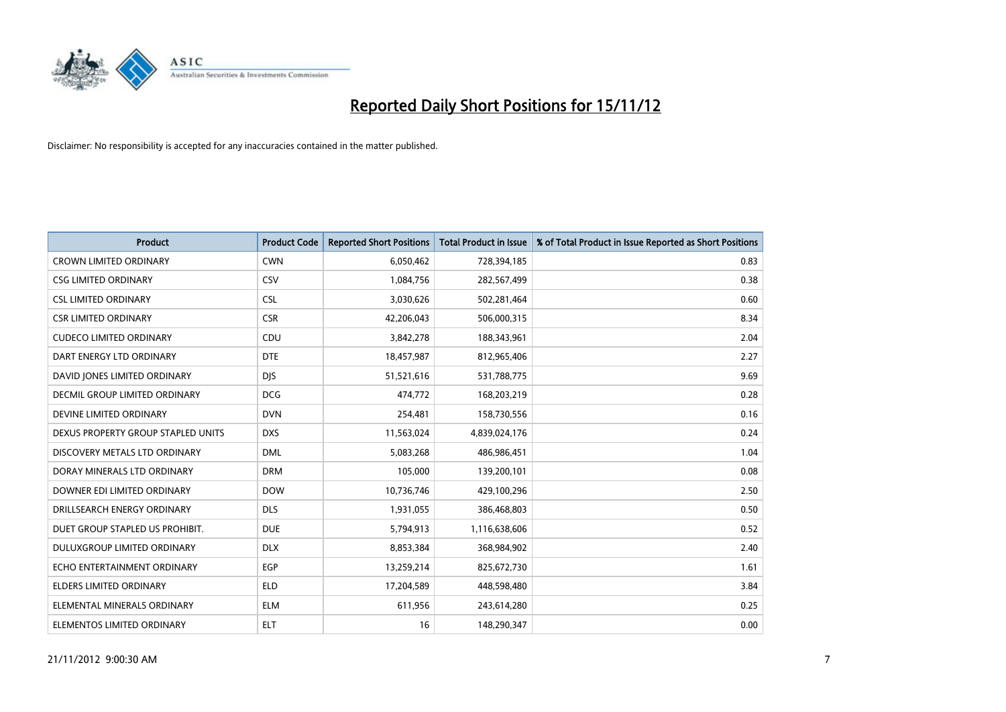

| <b>Product</b>                       | <b>Product Code</b> | <b>Reported Short Positions</b> | <b>Total Product in Issue</b> | % of Total Product in Issue Reported as Short Positions |
|--------------------------------------|---------------------|---------------------------------|-------------------------------|---------------------------------------------------------|
| <b>CROWN LIMITED ORDINARY</b>        | <b>CWN</b>          | 6,050,462                       | 728,394,185                   | 0.83                                                    |
| <b>CSG LIMITED ORDINARY</b>          | CSV                 | 1,084,756                       | 282,567,499                   | 0.38                                                    |
| <b>CSL LIMITED ORDINARY</b>          | <b>CSL</b>          | 3,030,626                       | 502,281,464                   | 0.60                                                    |
| <b>CSR LIMITED ORDINARY</b>          | <b>CSR</b>          | 42,206,043                      | 506,000,315                   | 8.34                                                    |
| <b>CUDECO LIMITED ORDINARY</b>       | CDU                 | 3,842,278                       | 188,343,961                   | 2.04                                                    |
| DART ENERGY LTD ORDINARY             | <b>DTE</b>          | 18,457,987                      | 812,965,406                   | 2.27                                                    |
| DAVID JONES LIMITED ORDINARY         | <b>DIS</b>          | 51,521,616                      | 531,788,775                   | 9.69                                                    |
| <b>DECMIL GROUP LIMITED ORDINARY</b> | <b>DCG</b>          | 474,772                         | 168,203,219                   | 0.28                                                    |
| DEVINE LIMITED ORDINARY              | <b>DVN</b>          | 254,481                         | 158,730,556                   | 0.16                                                    |
| DEXUS PROPERTY GROUP STAPLED UNITS   | <b>DXS</b>          | 11,563,024                      | 4,839,024,176                 | 0.24                                                    |
| DISCOVERY METALS LTD ORDINARY        | <b>DML</b>          | 5,083,268                       | 486,986,451                   | 1.04                                                    |
| DORAY MINERALS LTD ORDINARY          | <b>DRM</b>          | 105,000                         | 139,200,101                   | 0.08                                                    |
| DOWNER EDI LIMITED ORDINARY          | <b>DOW</b>          | 10,736,746                      | 429,100,296                   | 2.50                                                    |
| DRILLSEARCH ENERGY ORDINARY          | <b>DLS</b>          | 1,931,055                       | 386,468,803                   | 0.50                                                    |
| DUET GROUP STAPLED US PROHIBIT.      | <b>DUE</b>          | 5,794,913                       | 1,116,638,606                 | 0.52                                                    |
| DULUXGROUP LIMITED ORDINARY          | <b>DLX</b>          | 8,853,384                       | 368,984,902                   | 2.40                                                    |
| ECHO ENTERTAINMENT ORDINARY          | <b>EGP</b>          | 13,259,214                      | 825,672,730                   | 1.61                                                    |
| ELDERS LIMITED ORDINARY              | <b>ELD</b>          | 17,204,589                      | 448,598,480                   | 3.84                                                    |
| ELEMENTAL MINERALS ORDINARY          | <b>ELM</b>          | 611,956                         | 243,614,280                   | 0.25                                                    |
| ELEMENTOS LIMITED ORDINARY           | <b>ELT</b>          | 16                              | 148,290,347                   | 0.00                                                    |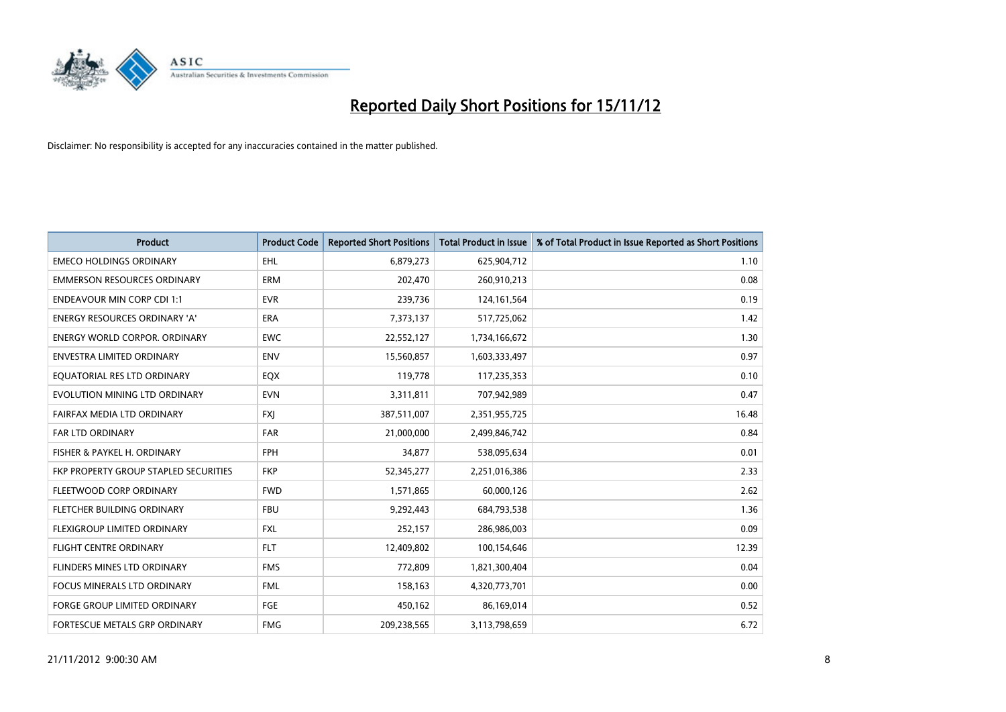

| <b>Product</b>                               | <b>Product Code</b> | <b>Reported Short Positions</b> | <b>Total Product in Issue</b> | % of Total Product in Issue Reported as Short Positions |
|----------------------------------------------|---------------------|---------------------------------|-------------------------------|---------------------------------------------------------|
| <b>EMECO HOLDINGS ORDINARY</b>               | <b>EHL</b>          | 6,879,273                       | 625,904,712                   | 1.10                                                    |
| <b>EMMERSON RESOURCES ORDINARY</b>           | <b>ERM</b>          | 202,470                         | 260,910,213                   | 0.08                                                    |
| <b>ENDEAVOUR MIN CORP CDI 1:1</b>            | <b>EVR</b>          | 239,736                         | 124,161,564                   | 0.19                                                    |
| ENERGY RESOURCES ORDINARY 'A'                | ERA                 | 7,373,137                       | 517,725,062                   | 1.42                                                    |
| <b>ENERGY WORLD CORPOR, ORDINARY</b>         | <b>EWC</b>          | 22,552,127                      | 1,734,166,672                 | 1.30                                                    |
| ENVESTRA LIMITED ORDINARY                    | <b>ENV</b>          | 15,560,857                      | 1,603,333,497                 | 0.97                                                    |
| EQUATORIAL RES LTD ORDINARY                  | EQX                 | 119,778                         | 117,235,353                   | 0.10                                                    |
| EVOLUTION MINING LTD ORDINARY                | <b>EVN</b>          | 3,311,811                       | 707,942,989                   | 0.47                                                    |
| FAIRFAX MEDIA LTD ORDINARY                   | <b>FXJ</b>          | 387,511,007                     | 2,351,955,725                 | 16.48                                                   |
| <b>FAR LTD ORDINARY</b>                      | <b>FAR</b>          | 21,000,000                      | 2,499,846,742                 | 0.84                                                    |
| FISHER & PAYKEL H. ORDINARY                  | <b>FPH</b>          | 34,877                          | 538,095,634                   | 0.01                                                    |
| <b>FKP PROPERTY GROUP STAPLED SECURITIES</b> | <b>FKP</b>          | 52,345,277                      | 2,251,016,386                 | 2.33                                                    |
| FLEETWOOD CORP ORDINARY                      | <b>FWD</b>          | 1,571,865                       | 60,000,126                    | 2.62                                                    |
| FLETCHER BUILDING ORDINARY                   | <b>FBU</b>          | 9,292,443                       | 684,793,538                   | 1.36                                                    |
| FLEXIGROUP LIMITED ORDINARY                  | <b>FXL</b>          | 252,157                         | 286,986,003                   | 0.09                                                    |
| <b>FLIGHT CENTRE ORDINARY</b>                | <b>FLT</b>          | 12,409,802                      | 100,154,646                   | 12.39                                                   |
| <b>FLINDERS MINES LTD ORDINARY</b>           | <b>FMS</b>          | 772,809                         | 1,821,300,404                 | 0.04                                                    |
| FOCUS MINERALS LTD ORDINARY                  | <b>FML</b>          | 158,163                         | 4,320,773,701                 | 0.00                                                    |
| <b>FORGE GROUP LIMITED ORDINARY</b>          | FGE                 | 450,162                         | 86,169,014                    | 0.52                                                    |
| FORTESCUE METALS GRP ORDINARY                | <b>FMG</b>          | 209,238,565                     | 3,113,798,659                 | 6.72                                                    |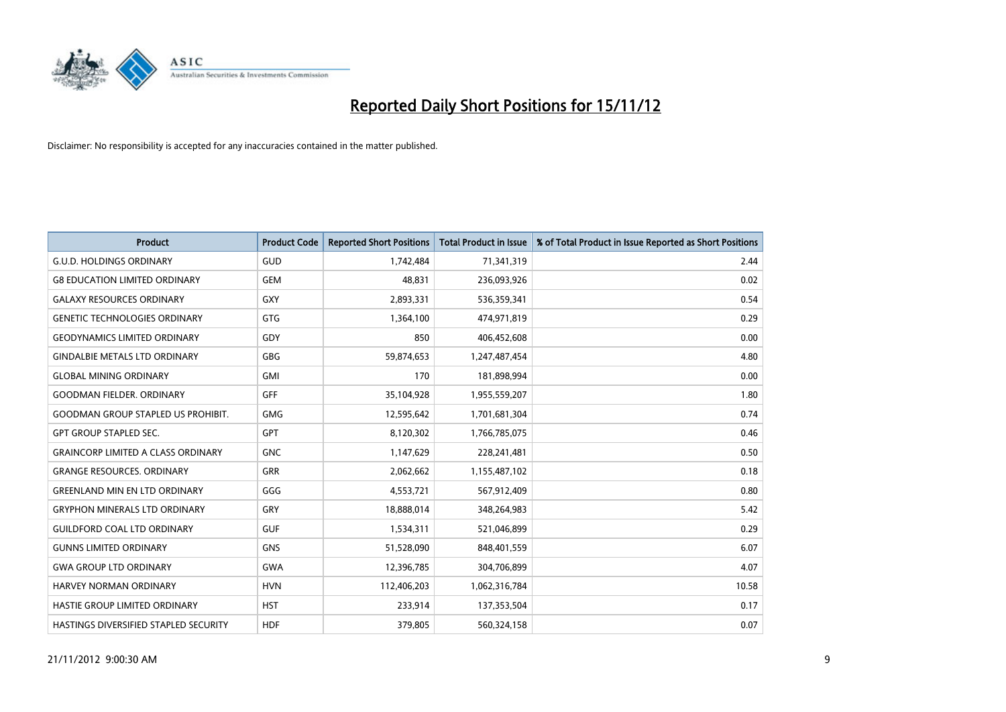

| <b>Product</b>                            | <b>Product Code</b> | <b>Reported Short Positions</b> | <b>Total Product in Issue</b> | % of Total Product in Issue Reported as Short Positions |
|-------------------------------------------|---------------------|---------------------------------|-------------------------------|---------------------------------------------------------|
| <b>G.U.D. HOLDINGS ORDINARY</b>           | <b>GUD</b>          | 1,742,484                       | 71,341,319                    | 2.44                                                    |
| <b>G8 EDUCATION LIMITED ORDINARY</b>      | GEM                 | 48,831                          | 236,093,926                   | 0.02                                                    |
| <b>GALAXY RESOURCES ORDINARY</b>          | GXY                 | 2,893,331                       | 536,359,341                   | 0.54                                                    |
| <b>GENETIC TECHNOLOGIES ORDINARY</b>      | <b>GTG</b>          | 1,364,100                       | 474,971,819                   | 0.29                                                    |
| <b>GEODYNAMICS LIMITED ORDINARY</b>       | GDY                 | 850                             | 406,452,608                   | 0.00                                                    |
| <b>GINDALBIE METALS LTD ORDINARY</b>      | GBG                 | 59,874,653                      | 1,247,487,454                 | 4.80                                                    |
| <b>GLOBAL MINING ORDINARY</b>             | <b>GMI</b>          | 170                             | 181,898,994                   | 0.00                                                    |
| <b>GOODMAN FIELDER, ORDINARY</b>          | <b>GFF</b>          | 35,104,928                      | 1,955,559,207                 | 1.80                                                    |
| <b>GOODMAN GROUP STAPLED US PROHIBIT.</b> | <b>GMG</b>          | 12,595,642                      | 1,701,681,304                 | 0.74                                                    |
| <b>GPT GROUP STAPLED SEC.</b>             | GPT                 | 8,120,302                       | 1,766,785,075                 | 0.46                                                    |
| <b>GRAINCORP LIMITED A CLASS ORDINARY</b> | <b>GNC</b>          | 1,147,629                       | 228,241,481                   | 0.50                                                    |
| <b>GRANGE RESOURCES, ORDINARY</b>         | <b>GRR</b>          | 2,062,662                       | 1,155,487,102                 | 0.18                                                    |
| <b>GREENLAND MIN EN LTD ORDINARY</b>      | GGG                 | 4,553,721                       | 567,912,409                   | 0.80                                                    |
| <b>GRYPHON MINERALS LTD ORDINARY</b>      | GRY                 | 18,888,014                      | 348,264,983                   | 5.42                                                    |
| <b>GUILDFORD COAL LTD ORDINARY</b>        | <b>GUF</b>          | 1,534,311                       | 521,046,899                   | 0.29                                                    |
| <b>GUNNS LIMITED ORDINARY</b>             | <b>GNS</b>          | 51,528,090                      | 848,401,559                   | 6.07                                                    |
| <b>GWA GROUP LTD ORDINARY</b>             | <b>GWA</b>          | 12,396,785                      | 304,706,899                   | 4.07                                                    |
| HARVEY NORMAN ORDINARY                    | <b>HVN</b>          | 112,406,203                     | 1,062,316,784                 | 10.58                                                   |
| HASTIE GROUP LIMITED ORDINARY             | <b>HST</b>          | 233,914                         | 137,353,504                   | 0.17                                                    |
| HASTINGS DIVERSIFIED STAPLED SECURITY     | <b>HDF</b>          | 379,805                         | 560,324,158                   | 0.07                                                    |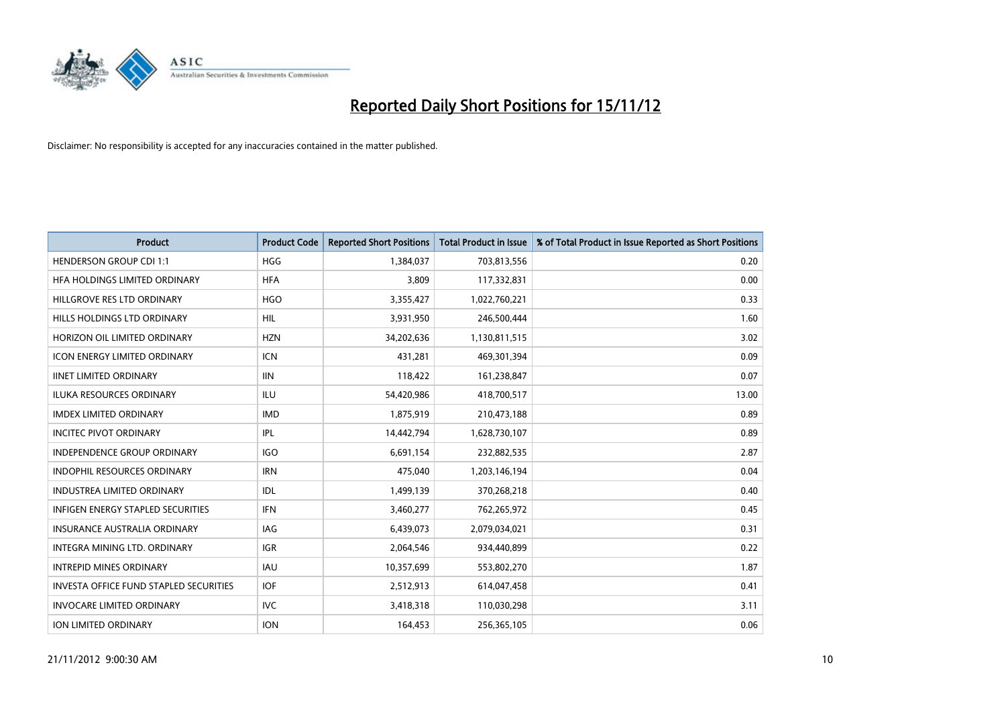

| <b>Product</b>                                | <b>Product Code</b> | <b>Reported Short Positions</b> | <b>Total Product in Issue</b> | % of Total Product in Issue Reported as Short Positions |
|-----------------------------------------------|---------------------|---------------------------------|-------------------------------|---------------------------------------------------------|
| <b>HENDERSON GROUP CDI 1:1</b>                | <b>HGG</b>          | 1,384,037                       | 703,813,556                   | 0.20                                                    |
| HFA HOLDINGS LIMITED ORDINARY                 | <b>HFA</b>          | 3,809                           | 117,332,831                   | 0.00                                                    |
| HILLGROVE RES LTD ORDINARY                    | <b>HGO</b>          | 3,355,427                       | 1,022,760,221                 | 0.33                                                    |
| HILLS HOLDINGS LTD ORDINARY                   | <b>HIL</b>          | 3,931,950                       | 246,500,444                   | 1.60                                                    |
| HORIZON OIL LIMITED ORDINARY                  | <b>HZN</b>          | 34,202,636                      | 1,130,811,515                 | 3.02                                                    |
| <b>ICON ENERGY LIMITED ORDINARY</b>           | <b>ICN</b>          | 431,281                         | 469,301,394                   | 0.09                                                    |
| <b>IINET LIMITED ORDINARY</b>                 | <b>IIN</b>          | 118,422                         | 161,238,847                   | 0.07                                                    |
| ILUKA RESOURCES ORDINARY                      | ILU                 | 54,420,986                      | 418,700,517                   | 13.00                                                   |
| <b>IMDEX LIMITED ORDINARY</b>                 | <b>IMD</b>          | 1,875,919                       | 210,473,188                   | 0.89                                                    |
| <b>INCITEC PIVOT ORDINARY</b>                 | IPL                 | 14,442,794                      | 1,628,730,107                 | 0.89                                                    |
| INDEPENDENCE GROUP ORDINARY                   | <b>IGO</b>          | 6,691,154                       | 232,882,535                   | 2.87                                                    |
| <b>INDOPHIL RESOURCES ORDINARY</b>            | <b>IRN</b>          | 475,040                         | 1,203,146,194                 | 0.04                                                    |
| INDUSTREA LIMITED ORDINARY                    | IDL                 | 1,499,139                       | 370,268,218                   | 0.40                                                    |
| <b>INFIGEN ENERGY STAPLED SECURITIES</b>      | <b>IFN</b>          | 3,460,277                       | 762,265,972                   | 0.45                                                    |
| <b>INSURANCE AUSTRALIA ORDINARY</b>           | IAG                 | 6,439,073                       | 2,079,034,021                 | 0.31                                                    |
| INTEGRA MINING LTD. ORDINARY                  | <b>IGR</b>          | 2,064,546                       | 934,440,899                   | 0.22                                                    |
| <b>INTREPID MINES ORDINARY</b>                | <b>IAU</b>          | 10,357,699                      | 553,802,270                   | 1.87                                                    |
| <b>INVESTA OFFICE FUND STAPLED SECURITIES</b> | <b>IOF</b>          | 2,512,913                       | 614,047,458                   | 0.41                                                    |
| <b>INVOCARE LIMITED ORDINARY</b>              | IVC                 | 3,418,318                       | 110,030,298                   | 3.11                                                    |
| <b>ION LIMITED ORDINARY</b>                   | <b>ION</b>          | 164,453                         | 256,365,105                   | 0.06                                                    |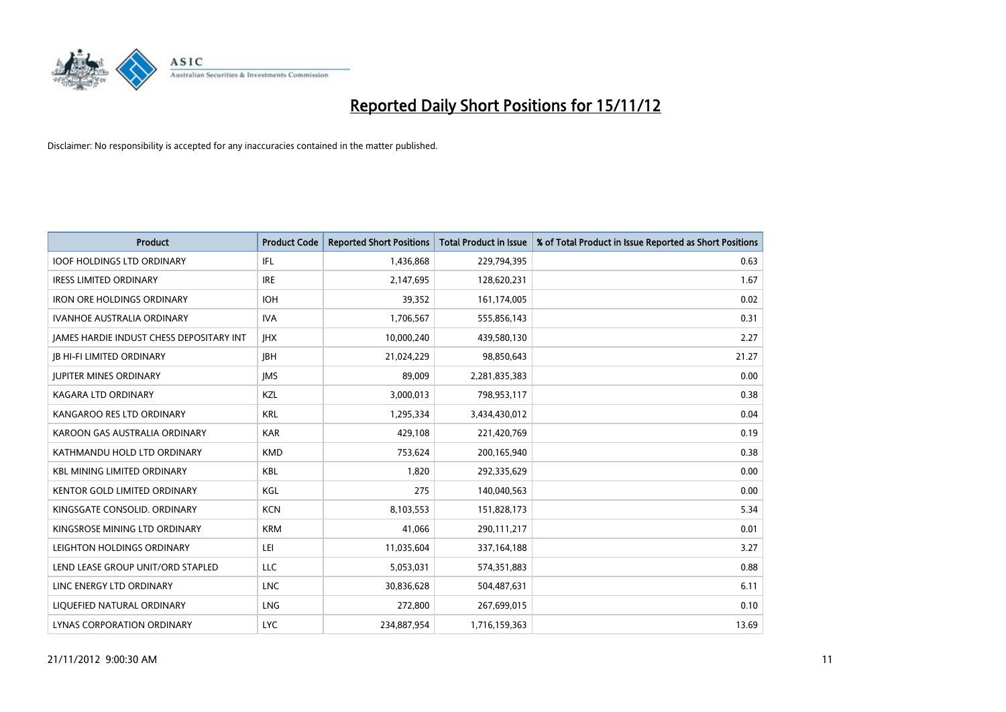

| <b>Product</b>                                  | <b>Product Code</b> | <b>Reported Short Positions</b> | <b>Total Product in Issue</b> | % of Total Product in Issue Reported as Short Positions |
|-------------------------------------------------|---------------------|---------------------------------|-------------------------------|---------------------------------------------------------|
| <b>IOOF HOLDINGS LTD ORDINARY</b>               | <b>IFL</b>          | 1,436,868                       | 229,794,395                   | 0.63                                                    |
| <b>IRESS LIMITED ORDINARY</b>                   | <b>IRE</b>          | 2,147,695                       | 128,620,231                   | 1.67                                                    |
| <b>IRON ORE HOLDINGS ORDINARY</b>               | <b>IOH</b>          | 39,352                          | 161,174,005                   | 0.02                                                    |
| <b>IVANHOE AUSTRALIA ORDINARY</b>               | <b>IVA</b>          | 1,706,567                       | 555,856,143                   | 0.31                                                    |
| <b>IAMES HARDIE INDUST CHESS DEPOSITARY INT</b> | <b>IHX</b>          | 10,000,240                      | 439,580,130                   | 2.27                                                    |
| <b>IB HI-FI LIMITED ORDINARY</b>                | <b>IBH</b>          | 21,024,229                      | 98,850,643                    | 21.27                                                   |
| <b>JUPITER MINES ORDINARY</b>                   | <b>IMS</b>          | 89,009                          | 2,281,835,383                 | 0.00                                                    |
| KAGARA LTD ORDINARY                             | KZL                 | 3,000,013                       | 798,953,117                   | 0.38                                                    |
| KANGAROO RES LTD ORDINARY                       | <b>KRL</b>          | 1,295,334                       | 3,434,430,012                 | 0.04                                                    |
| KAROON GAS AUSTRALIA ORDINARY                   | <b>KAR</b>          | 429,108                         | 221,420,769                   | 0.19                                                    |
| KATHMANDU HOLD LTD ORDINARY                     | <b>KMD</b>          | 753,624                         | 200,165,940                   | 0.38                                                    |
| <b>KBL MINING LIMITED ORDINARY</b>              | <b>KBL</b>          | 1,820                           | 292,335,629                   | 0.00                                                    |
| <b>KENTOR GOLD LIMITED ORDINARY</b>             | KGL                 | 275                             | 140,040,563                   | 0.00                                                    |
| KINGSGATE CONSOLID. ORDINARY                    | <b>KCN</b>          | 8,103,553                       | 151,828,173                   | 5.34                                                    |
| KINGSROSE MINING LTD ORDINARY                   | <b>KRM</b>          | 41,066                          | 290,111,217                   | 0.01                                                    |
| LEIGHTON HOLDINGS ORDINARY                      | LEI                 | 11,035,604                      | 337, 164, 188                 | 3.27                                                    |
| LEND LEASE GROUP UNIT/ORD STAPLED               | <b>LLC</b>          | 5,053,031                       | 574,351,883                   | 0.88                                                    |
| LINC ENERGY LTD ORDINARY                        | <b>LNC</b>          | 30,836,628                      | 504,487,631                   | 6.11                                                    |
| LIQUEFIED NATURAL ORDINARY                      | <b>LNG</b>          | 272,800                         | 267,699,015                   | 0.10                                                    |
| LYNAS CORPORATION ORDINARY                      | <b>LYC</b>          | 234,887,954                     | 1,716,159,363                 | 13.69                                                   |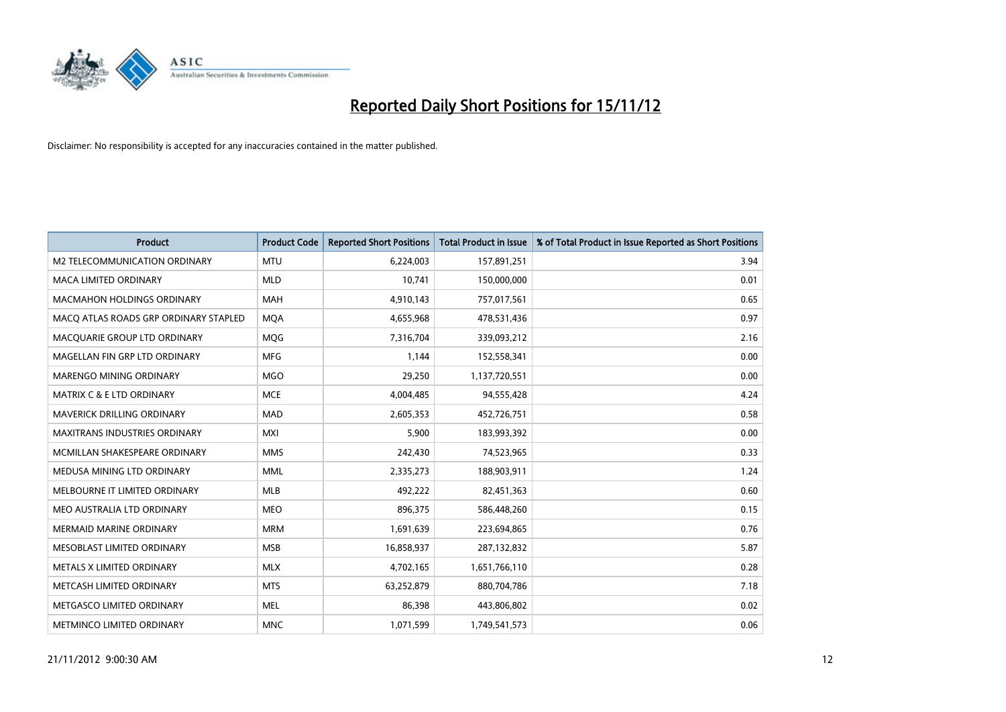

| <b>Product</b>                        | <b>Product Code</b> | <b>Reported Short Positions</b> | <b>Total Product in Issue</b> | % of Total Product in Issue Reported as Short Positions |
|---------------------------------------|---------------------|---------------------------------|-------------------------------|---------------------------------------------------------|
| M2 TELECOMMUNICATION ORDINARY         | <b>MTU</b>          | 6,224,003                       | 157,891,251                   | 3.94                                                    |
| <b>MACA LIMITED ORDINARY</b>          | <b>MLD</b>          | 10.741                          | 150,000,000                   | 0.01                                                    |
| <b>MACMAHON HOLDINGS ORDINARY</b>     | <b>MAH</b>          | 4,910,143                       | 757,017,561                   | 0.65                                                    |
| MACQ ATLAS ROADS GRP ORDINARY STAPLED | <b>MOA</b>          | 4,655,968                       | 478,531,436                   | 0.97                                                    |
| MACOUARIE GROUP LTD ORDINARY          | <b>MOG</b>          | 7,316,704                       | 339,093,212                   | 2.16                                                    |
| MAGELLAN FIN GRP LTD ORDINARY         | <b>MFG</b>          | 1,144                           | 152,558,341                   | 0.00                                                    |
| <b>MARENGO MINING ORDINARY</b>        | <b>MGO</b>          | 29,250                          | 1,137,720,551                 | 0.00                                                    |
| <b>MATRIX C &amp; E LTD ORDINARY</b>  | <b>MCE</b>          | 4,004,485                       | 94,555,428                    | 4.24                                                    |
| MAVERICK DRILLING ORDINARY            | <b>MAD</b>          | 2,605,353                       | 452,726,751                   | 0.58                                                    |
| <b>MAXITRANS INDUSTRIES ORDINARY</b>  | <b>MXI</b>          | 5.900                           | 183,993,392                   | 0.00                                                    |
| MCMILLAN SHAKESPEARE ORDINARY         | <b>MMS</b>          | 242,430                         | 74,523,965                    | 0.33                                                    |
| MEDUSA MINING LTD ORDINARY            | <b>MML</b>          | 2,335,273                       | 188,903,911                   | 1.24                                                    |
| MELBOURNE IT LIMITED ORDINARY         | <b>MLB</b>          | 492,222                         | 82,451,363                    | 0.60                                                    |
| MEO AUSTRALIA LTD ORDINARY            | <b>MEO</b>          | 896,375                         | 586,448,260                   | 0.15                                                    |
| <b>MERMAID MARINE ORDINARY</b>        | <b>MRM</b>          | 1,691,639                       | 223,694,865                   | 0.76                                                    |
| MESOBLAST LIMITED ORDINARY            | <b>MSB</b>          | 16,858,937                      | 287,132,832                   | 5.87                                                    |
| METALS X LIMITED ORDINARY             | <b>MLX</b>          | 4,702,165                       | 1,651,766,110                 | 0.28                                                    |
| METCASH LIMITED ORDINARY              | <b>MTS</b>          | 63,252,879                      | 880,704,786                   | 7.18                                                    |
| METGASCO LIMITED ORDINARY             | <b>MEL</b>          | 86,398                          | 443,806,802                   | 0.02                                                    |
| <b>METMINCO LIMITED ORDINARY</b>      | <b>MNC</b>          | 1,071,599                       | 1,749,541,573                 | 0.06                                                    |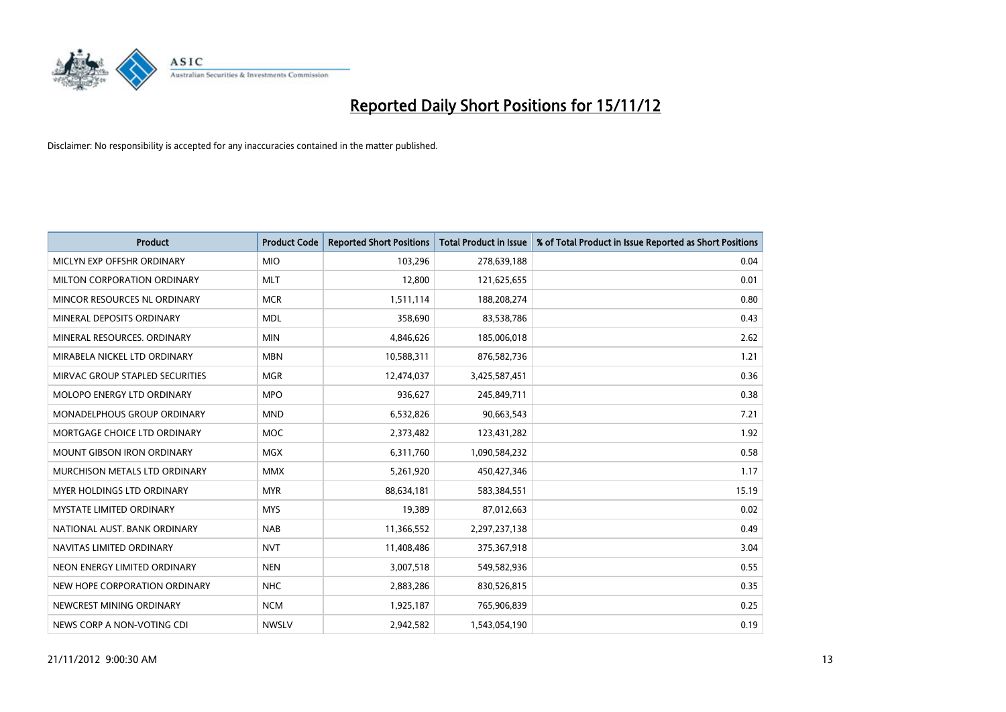

| <b>Product</b>                     | <b>Product Code</b> | <b>Reported Short Positions</b> | <b>Total Product in Issue</b> | % of Total Product in Issue Reported as Short Positions |
|------------------------------------|---------------------|---------------------------------|-------------------------------|---------------------------------------------------------|
| MICLYN EXP OFFSHR ORDINARY         | <b>MIO</b>          | 103,296                         | 278,639,188                   | 0.04                                                    |
| MILTON CORPORATION ORDINARY        | <b>MLT</b>          | 12,800                          | 121,625,655                   | 0.01                                                    |
| MINCOR RESOURCES NL ORDINARY       | <b>MCR</b>          | 1,511,114                       | 188,208,274                   | 0.80                                                    |
| MINERAL DEPOSITS ORDINARY          | <b>MDL</b>          | 358,690                         | 83,538,786                    | 0.43                                                    |
| MINERAL RESOURCES, ORDINARY        | <b>MIN</b>          | 4,846,626                       | 185,006,018                   | 2.62                                                    |
| MIRABELA NICKEL LTD ORDINARY       | <b>MBN</b>          | 10,588,311                      | 876,582,736                   | 1.21                                                    |
| MIRVAC GROUP STAPLED SECURITIES    | <b>MGR</b>          | 12,474,037                      | 3,425,587,451                 | 0.36                                                    |
| MOLOPO ENERGY LTD ORDINARY         | <b>MPO</b>          | 936,627                         | 245,849,711                   | 0.38                                                    |
| <b>MONADELPHOUS GROUP ORDINARY</b> | <b>MND</b>          | 6,532,826                       | 90,663,543                    | 7.21                                                    |
| MORTGAGE CHOICE LTD ORDINARY       | <b>MOC</b>          | 2,373,482                       | 123,431,282                   | 1.92                                                    |
| MOUNT GIBSON IRON ORDINARY         | <b>MGX</b>          | 6,311,760                       | 1,090,584,232                 | 0.58                                                    |
| MURCHISON METALS LTD ORDINARY      | <b>MMX</b>          | 5,261,920                       | 450,427,346                   | 1.17                                                    |
| MYER HOLDINGS LTD ORDINARY         | <b>MYR</b>          | 88,634,181                      | 583,384,551                   | 15.19                                                   |
| <b>MYSTATE LIMITED ORDINARY</b>    | <b>MYS</b>          | 19,389                          | 87,012,663                    | 0.02                                                    |
| NATIONAL AUST, BANK ORDINARY       | <b>NAB</b>          | 11,366,552                      | 2,297,237,138                 | 0.49                                                    |
| NAVITAS LIMITED ORDINARY           | <b>NVT</b>          | 11,408,486                      | 375,367,918                   | 3.04                                                    |
| NEON ENERGY LIMITED ORDINARY       | <b>NEN</b>          | 3,007,518                       | 549,582,936                   | 0.55                                                    |
| NEW HOPE CORPORATION ORDINARY      | <b>NHC</b>          | 2,883,286                       | 830,526,815                   | 0.35                                                    |
| NEWCREST MINING ORDINARY           | <b>NCM</b>          | 1,925,187                       | 765,906,839                   | 0.25                                                    |
| NEWS CORP A NON-VOTING CDI         | <b>NWSLV</b>        | 2,942,582                       | 1,543,054,190                 | 0.19                                                    |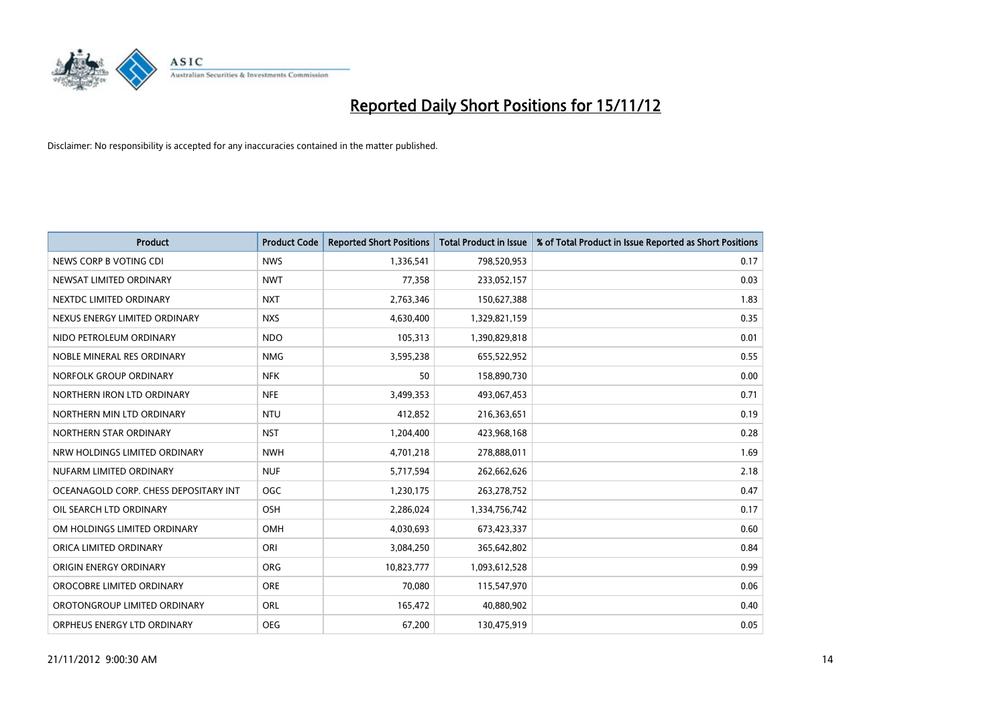

| <b>Product</b>                        | <b>Product Code</b> | <b>Reported Short Positions</b> | <b>Total Product in Issue</b> | % of Total Product in Issue Reported as Short Positions |
|---------------------------------------|---------------------|---------------------------------|-------------------------------|---------------------------------------------------------|
| NEWS CORP B VOTING CDI                | <b>NWS</b>          | 1,336,541                       | 798,520,953                   | 0.17                                                    |
| NEWSAT LIMITED ORDINARY               | <b>NWT</b>          | 77,358                          | 233,052,157                   | 0.03                                                    |
| NEXTDC LIMITED ORDINARY               | <b>NXT</b>          | 2,763,346                       | 150,627,388                   | 1.83                                                    |
| NEXUS ENERGY LIMITED ORDINARY         | <b>NXS</b>          | 4,630,400                       | 1,329,821,159                 | 0.35                                                    |
| NIDO PETROLEUM ORDINARY               | <b>NDO</b>          | 105,313                         | 1,390,829,818                 | 0.01                                                    |
| NOBLE MINERAL RES ORDINARY            | <b>NMG</b>          | 3,595,238                       | 655,522,952                   | 0.55                                                    |
| NORFOLK GROUP ORDINARY                | <b>NFK</b>          | 50                              | 158,890,730                   | 0.00                                                    |
| NORTHERN IRON LTD ORDINARY            | <b>NFE</b>          | 3,499,353                       | 493,067,453                   | 0.71                                                    |
| NORTHERN MIN LTD ORDINARY             | <b>NTU</b>          | 412,852                         | 216,363,651                   | 0.19                                                    |
| NORTHERN STAR ORDINARY                | <b>NST</b>          | 1,204,400                       | 423,968,168                   | 0.28                                                    |
| NRW HOLDINGS LIMITED ORDINARY         | <b>NWH</b>          | 4,701,218                       | 278,888,011                   | 1.69                                                    |
| NUFARM LIMITED ORDINARY               | <b>NUF</b>          | 5,717,594                       | 262,662,626                   | 2.18                                                    |
| OCEANAGOLD CORP. CHESS DEPOSITARY INT | <b>OGC</b>          | 1,230,175                       | 263,278,752                   | 0.47                                                    |
| OIL SEARCH LTD ORDINARY               | OSH                 | 2,286,024                       | 1,334,756,742                 | 0.17                                                    |
| OM HOLDINGS LIMITED ORDINARY          | OMH                 | 4,030,693                       | 673,423,337                   | 0.60                                                    |
| ORICA LIMITED ORDINARY                | ORI                 | 3,084,250                       | 365,642,802                   | 0.84                                                    |
| ORIGIN ENERGY ORDINARY                | <b>ORG</b>          | 10,823,777                      | 1,093,612,528                 | 0.99                                                    |
| OROCOBRE LIMITED ORDINARY             | <b>ORE</b>          | 70,080                          | 115,547,970                   | 0.06                                                    |
| OROTONGROUP LIMITED ORDINARY          | ORL                 | 165,472                         | 40,880,902                    | 0.40                                                    |
| ORPHEUS ENERGY LTD ORDINARY           | <b>OEG</b>          | 67,200                          | 130,475,919                   | 0.05                                                    |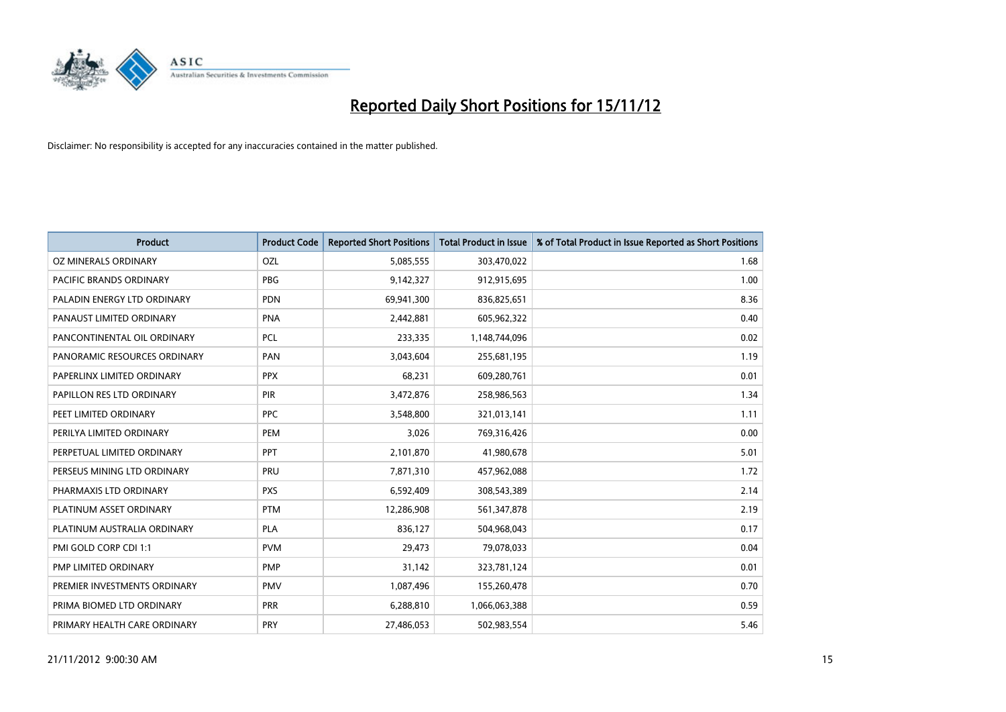

| <b>Product</b>               | <b>Product Code</b> | <b>Reported Short Positions</b> | <b>Total Product in Issue</b> | % of Total Product in Issue Reported as Short Positions |
|------------------------------|---------------------|---------------------------------|-------------------------------|---------------------------------------------------------|
| OZ MINERALS ORDINARY         | OZL                 | 5,085,555                       | 303,470,022                   | 1.68                                                    |
| PACIFIC BRANDS ORDINARY      | <b>PBG</b>          | 9,142,327                       | 912,915,695                   | 1.00                                                    |
| PALADIN ENERGY LTD ORDINARY  | <b>PDN</b>          | 69,941,300                      | 836,825,651                   | 8.36                                                    |
| PANAUST LIMITED ORDINARY     | <b>PNA</b>          | 2,442,881                       | 605,962,322                   | 0.40                                                    |
| PANCONTINENTAL OIL ORDINARY  | <b>PCL</b>          | 233,335                         | 1,148,744,096                 | 0.02                                                    |
| PANORAMIC RESOURCES ORDINARY | PAN                 | 3,043,604                       | 255,681,195                   | 1.19                                                    |
| PAPERLINX LIMITED ORDINARY   | <b>PPX</b>          | 68,231                          | 609,280,761                   | 0.01                                                    |
| PAPILLON RES LTD ORDINARY    | PIR                 | 3,472,876                       | 258,986,563                   | 1.34                                                    |
| PEET LIMITED ORDINARY        | <b>PPC</b>          | 3,548,800                       | 321,013,141                   | 1.11                                                    |
| PERILYA LIMITED ORDINARY     | PEM                 | 3,026                           | 769,316,426                   | 0.00                                                    |
| PERPETUAL LIMITED ORDINARY   | <b>PPT</b>          | 2,101,870                       | 41,980,678                    | 5.01                                                    |
| PERSEUS MINING LTD ORDINARY  | PRU                 | 7,871,310                       | 457,962,088                   | 1.72                                                    |
| PHARMAXIS LTD ORDINARY       | <b>PXS</b>          | 6,592,409                       | 308,543,389                   | 2.14                                                    |
| PLATINUM ASSET ORDINARY      | <b>PTM</b>          | 12,286,908                      | 561,347,878                   | 2.19                                                    |
| PLATINUM AUSTRALIA ORDINARY  | <b>PLA</b>          | 836,127                         | 504,968,043                   | 0.17                                                    |
| PMI GOLD CORP CDI 1:1        | <b>PVM</b>          | 29,473                          | 79,078,033                    | 0.04                                                    |
| PMP LIMITED ORDINARY         | <b>PMP</b>          | 31,142                          | 323,781,124                   | 0.01                                                    |
| PREMIER INVESTMENTS ORDINARY | <b>PMV</b>          | 1,087,496                       | 155,260,478                   | 0.70                                                    |
| PRIMA BIOMED LTD ORDINARY    | <b>PRR</b>          | 6,288,810                       | 1,066,063,388                 | 0.59                                                    |
| PRIMARY HEALTH CARE ORDINARY | <b>PRY</b>          | 27,486,053                      | 502,983,554                   | 5.46                                                    |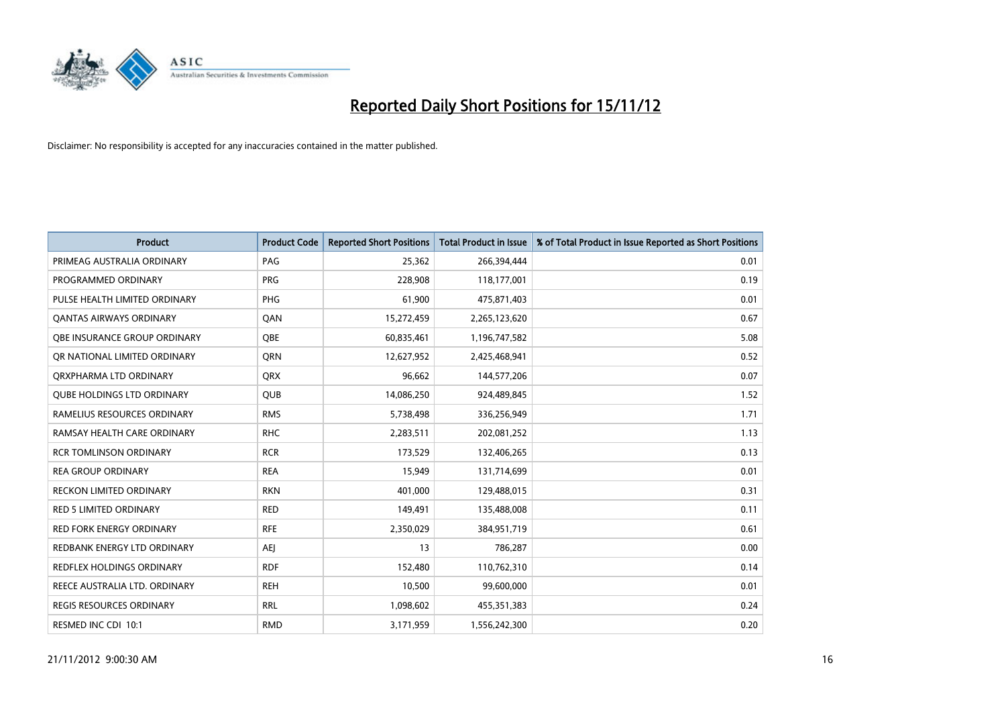

| <b>Product</b>                      | <b>Product Code</b> | <b>Reported Short Positions</b> | <b>Total Product in Issue</b> | % of Total Product in Issue Reported as Short Positions |
|-------------------------------------|---------------------|---------------------------------|-------------------------------|---------------------------------------------------------|
| PRIMEAG AUSTRALIA ORDINARY          | PAG                 | 25,362                          | 266,394,444                   | 0.01                                                    |
| PROGRAMMED ORDINARY                 | <b>PRG</b>          | 228,908                         | 118,177,001                   | 0.19                                                    |
| PULSE HEALTH LIMITED ORDINARY       | <b>PHG</b>          | 61,900                          | 475,871,403                   | 0.01                                                    |
| <b>QANTAS AIRWAYS ORDINARY</b>      | QAN                 | 15,272,459                      | 2,265,123,620                 | 0.67                                                    |
| <b>OBE INSURANCE GROUP ORDINARY</b> | <b>OBE</b>          | 60,835,461                      | 1,196,747,582                 | 5.08                                                    |
| OR NATIONAL LIMITED ORDINARY        | <b>ORN</b>          | 12,627,952                      | 2,425,468,941                 | 0.52                                                    |
| ORXPHARMA LTD ORDINARY              | <b>QRX</b>          | 96,662                          | 144,577,206                   | 0.07                                                    |
| <b>QUBE HOLDINGS LTD ORDINARY</b>   | <b>QUB</b>          | 14,086,250                      | 924,489,845                   | 1.52                                                    |
| RAMELIUS RESOURCES ORDINARY         | <b>RMS</b>          | 5,738,498                       | 336,256,949                   | 1.71                                                    |
| RAMSAY HEALTH CARE ORDINARY         | <b>RHC</b>          | 2,283,511                       | 202,081,252                   | 1.13                                                    |
| <b>RCR TOMLINSON ORDINARY</b>       | <b>RCR</b>          | 173,529                         | 132,406,265                   | 0.13                                                    |
| <b>REA GROUP ORDINARY</b>           | <b>REA</b>          | 15,949                          | 131,714,699                   | 0.01                                                    |
| <b>RECKON LIMITED ORDINARY</b>      | <b>RKN</b>          | 401,000                         | 129,488,015                   | 0.31                                                    |
| <b>RED 5 LIMITED ORDINARY</b>       | <b>RED</b>          | 149,491                         | 135,488,008                   | 0.11                                                    |
| <b>RED FORK ENERGY ORDINARY</b>     | <b>RFE</b>          | 2,350,029                       | 384,951,719                   | 0.61                                                    |
| REDBANK ENERGY LTD ORDINARY         | AEJ                 | 13                              | 786,287                       | 0.00                                                    |
| REDFLEX HOLDINGS ORDINARY           | <b>RDF</b>          | 152,480                         | 110,762,310                   | 0.14                                                    |
| REECE AUSTRALIA LTD. ORDINARY       | <b>REH</b>          | 10,500                          | 99,600,000                    | 0.01                                                    |
| REGIS RESOURCES ORDINARY            | <b>RRL</b>          | 1,098,602                       | 455,351,383                   | 0.24                                                    |
| RESMED INC CDI 10:1                 | <b>RMD</b>          | 3,171,959                       | 1,556,242,300                 | 0.20                                                    |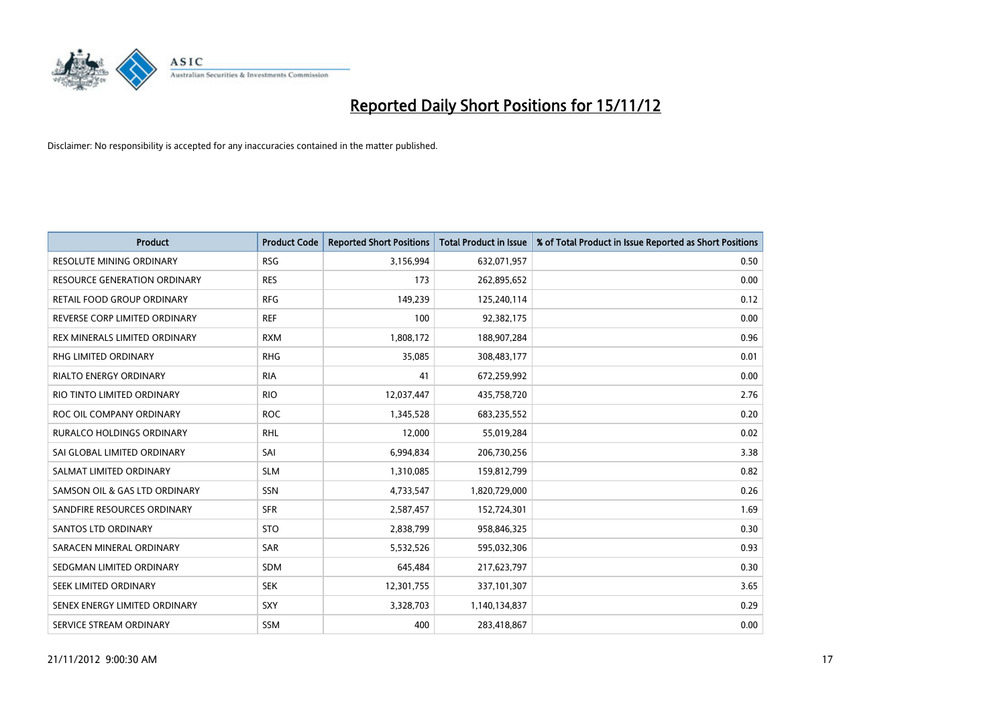

| <b>Product</b>                   | <b>Product Code</b> | <b>Reported Short Positions</b> | <b>Total Product in Issue</b> | % of Total Product in Issue Reported as Short Positions |
|----------------------------------|---------------------|---------------------------------|-------------------------------|---------------------------------------------------------|
| <b>RESOLUTE MINING ORDINARY</b>  | <b>RSG</b>          | 3,156,994                       | 632,071,957                   | 0.50                                                    |
| RESOURCE GENERATION ORDINARY     | <b>RES</b>          | 173                             | 262,895,652                   | 0.00                                                    |
| RETAIL FOOD GROUP ORDINARY       | <b>RFG</b>          | 149,239                         | 125,240,114                   | 0.12                                                    |
| REVERSE CORP LIMITED ORDINARY    | <b>REF</b>          | 100                             | 92,382,175                    | 0.00                                                    |
| REX MINERALS LIMITED ORDINARY    | <b>RXM</b>          | 1,808,172                       | 188,907,284                   | 0.96                                                    |
| <b>RHG LIMITED ORDINARY</b>      | <b>RHG</b>          | 35,085                          | 308,483,177                   | 0.01                                                    |
| <b>RIALTO ENERGY ORDINARY</b>    | <b>RIA</b>          | 41                              | 672,259,992                   | 0.00                                                    |
| RIO TINTO LIMITED ORDINARY       | <b>RIO</b>          | 12,037,447                      | 435,758,720                   | 2.76                                                    |
| ROC OIL COMPANY ORDINARY         | <b>ROC</b>          | 1,345,528                       | 683,235,552                   | 0.20                                                    |
| <b>RURALCO HOLDINGS ORDINARY</b> | <b>RHL</b>          | 12,000                          | 55,019,284                    | 0.02                                                    |
| SAI GLOBAL LIMITED ORDINARY      | SAI                 | 6,994,834                       | 206,730,256                   | 3.38                                                    |
| SALMAT LIMITED ORDINARY          | <b>SLM</b>          | 1,310,085                       | 159,812,799                   | 0.82                                                    |
| SAMSON OIL & GAS LTD ORDINARY    | <b>SSN</b>          | 4,733,547                       | 1,820,729,000                 | 0.26                                                    |
| SANDFIRE RESOURCES ORDINARY      | <b>SFR</b>          | 2,587,457                       | 152,724,301                   | 1.69                                                    |
| <b>SANTOS LTD ORDINARY</b>       | <b>STO</b>          | 2,838,799                       | 958,846,325                   | 0.30                                                    |
| SARACEN MINERAL ORDINARY         | SAR                 | 5,532,526                       | 595,032,306                   | 0.93                                                    |
| SEDGMAN LIMITED ORDINARY         | <b>SDM</b>          | 645,484                         | 217,623,797                   | 0.30                                                    |
| SEEK LIMITED ORDINARY            | <b>SEK</b>          | 12,301,755                      | 337,101,307                   | 3.65                                                    |
| SENEX ENERGY LIMITED ORDINARY    | <b>SXY</b>          | 3,328,703                       | 1,140,134,837                 | 0.29                                                    |
| SERVICE STREAM ORDINARY          | <b>SSM</b>          | 400                             | 283,418,867                   | 0.00                                                    |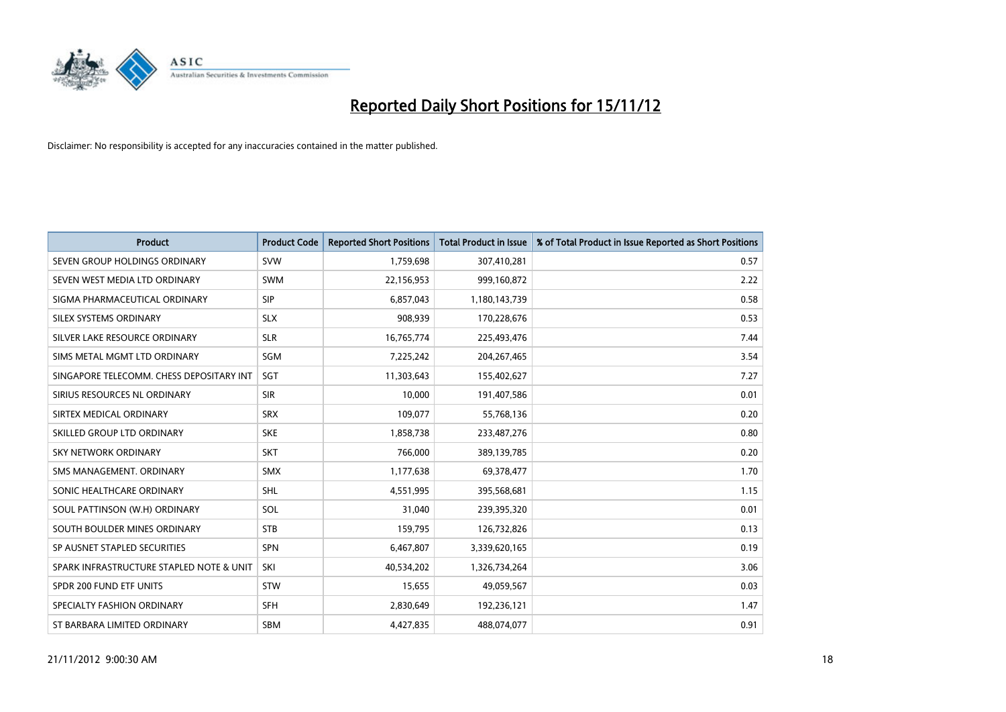

| <b>Product</b>                           | <b>Product Code</b> | <b>Reported Short Positions</b> | <b>Total Product in Issue</b> | % of Total Product in Issue Reported as Short Positions |
|------------------------------------------|---------------------|---------------------------------|-------------------------------|---------------------------------------------------------|
| SEVEN GROUP HOLDINGS ORDINARY            | <b>SVW</b>          | 1,759,698                       | 307,410,281                   | 0.57                                                    |
| SEVEN WEST MEDIA LTD ORDINARY            | <b>SWM</b>          | 22,156,953                      | 999,160,872                   | 2.22                                                    |
| SIGMA PHARMACEUTICAL ORDINARY            | <b>SIP</b>          | 6,857,043                       | 1,180,143,739                 | 0.58                                                    |
| SILEX SYSTEMS ORDINARY                   | <b>SLX</b>          | 908,939                         | 170,228,676                   | 0.53                                                    |
| SILVER LAKE RESOURCE ORDINARY            | <b>SLR</b>          | 16,765,774                      | 225,493,476                   | 7.44                                                    |
| SIMS METAL MGMT LTD ORDINARY             | SGM                 | 7,225,242                       | 204,267,465                   | 3.54                                                    |
| SINGAPORE TELECOMM. CHESS DEPOSITARY INT | <b>SGT</b>          | 11,303,643                      | 155,402,627                   | 7.27                                                    |
| SIRIUS RESOURCES NL ORDINARY             | <b>SIR</b>          | 10,000                          | 191,407,586                   | 0.01                                                    |
| SIRTEX MEDICAL ORDINARY                  | <b>SRX</b>          | 109,077                         | 55,768,136                    | 0.20                                                    |
| SKILLED GROUP LTD ORDINARY               | <b>SKE</b>          | 1,858,738                       | 233,487,276                   | 0.80                                                    |
| SKY NETWORK ORDINARY                     | <b>SKT</b>          | 766,000                         | 389,139,785                   | 0.20                                                    |
| SMS MANAGEMENT, ORDINARY                 | <b>SMX</b>          | 1,177,638                       | 69,378,477                    | 1.70                                                    |
| SONIC HEALTHCARE ORDINARY                | <b>SHL</b>          | 4,551,995                       | 395,568,681                   | 1.15                                                    |
| SOUL PATTINSON (W.H) ORDINARY            | SOL                 | 31,040                          | 239,395,320                   | 0.01                                                    |
| SOUTH BOULDER MINES ORDINARY             | <b>STB</b>          | 159,795                         | 126,732,826                   | 0.13                                                    |
| SP AUSNET STAPLED SECURITIES             | <b>SPN</b>          | 6,467,807                       | 3,339,620,165                 | 0.19                                                    |
| SPARK INFRASTRUCTURE STAPLED NOTE & UNIT | SKI                 | 40,534,202                      | 1,326,734,264                 | 3.06                                                    |
| SPDR 200 FUND ETF UNITS                  | <b>STW</b>          | 15,655                          | 49,059,567                    | 0.03                                                    |
| SPECIALTY FASHION ORDINARY               | <b>SFH</b>          | 2,830,649                       | 192,236,121                   | 1.47                                                    |
| ST BARBARA LIMITED ORDINARY              | <b>SBM</b>          | 4,427,835                       | 488,074,077                   | 0.91                                                    |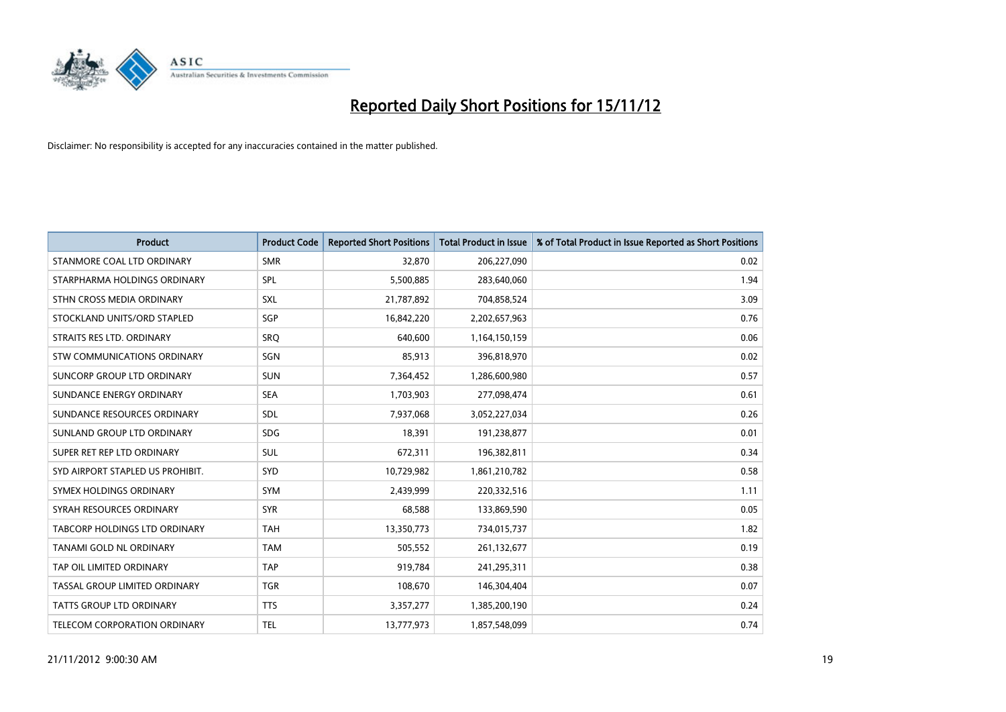

| <b>Product</b>                     | <b>Product Code</b> | <b>Reported Short Positions</b> | <b>Total Product in Issue</b> | % of Total Product in Issue Reported as Short Positions |
|------------------------------------|---------------------|---------------------------------|-------------------------------|---------------------------------------------------------|
| STANMORE COAL LTD ORDINARY         | <b>SMR</b>          | 32,870                          | 206,227,090                   | 0.02                                                    |
| STARPHARMA HOLDINGS ORDINARY       | <b>SPL</b>          | 5,500,885                       | 283,640,060                   | 1.94                                                    |
| STHN CROSS MEDIA ORDINARY          | <b>SXL</b>          | 21,787,892                      | 704,858,524                   | 3.09                                                    |
| STOCKLAND UNITS/ORD STAPLED        | SGP                 | 16,842,220                      | 2,202,657,963                 | 0.76                                                    |
| STRAITS RES LTD. ORDINARY          | SRO                 | 640,600                         | 1,164,150,159                 | 0.06                                                    |
| <b>STW COMMUNICATIONS ORDINARY</b> | SGN                 | 85,913                          | 396,818,970                   | 0.02                                                    |
| SUNCORP GROUP LTD ORDINARY         | <b>SUN</b>          | 7,364,452                       | 1,286,600,980                 | 0.57                                                    |
| SUNDANCE ENERGY ORDINARY           | <b>SEA</b>          | 1,703,903                       | 277,098,474                   | 0.61                                                    |
| SUNDANCE RESOURCES ORDINARY        | <b>SDL</b>          | 7,937,068                       | 3,052,227,034                 | 0.26                                                    |
| SUNLAND GROUP LTD ORDINARY         | <b>SDG</b>          | 18,391                          | 191,238,877                   | 0.01                                                    |
| SUPER RET REP LTD ORDINARY         | <b>SUL</b>          | 672,311                         | 196,382,811                   | 0.34                                                    |
| SYD AIRPORT STAPLED US PROHIBIT.   | <b>SYD</b>          | 10,729,982                      | 1,861,210,782                 | 0.58                                                    |
| SYMEX HOLDINGS ORDINARY            | <b>SYM</b>          | 2,439,999                       | 220,332,516                   | 1.11                                                    |
| SYRAH RESOURCES ORDINARY           | <b>SYR</b>          | 68,588                          | 133,869,590                   | 0.05                                                    |
| TABCORP HOLDINGS LTD ORDINARY      | <b>TAH</b>          | 13,350,773                      | 734,015,737                   | 1.82                                                    |
| TANAMI GOLD NL ORDINARY            | <b>TAM</b>          | 505,552                         | 261,132,677                   | 0.19                                                    |
| TAP OIL LIMITED ORDINARY           | <b>TAP</b>          | 919,784                         | 241,295,311                   | 0.38                                                    |
| TASSAL GROUP LIMITED ORDINARY      | <b>TGR</b>          | 108,670                         | 146,304,404                   | 0.07                                                    |
| <b>TATTS GROUP LTD ORDINARY</b>    | <b>TTS</b>          | 3,357,277                       | 1,385,200,190                 | 0.24                                                    |
| TELECOM CORPORATION ORDINARY       | <b>TEL</b>          | 13,777,973                      | 1,857,548,099                 | 0.74                                                    |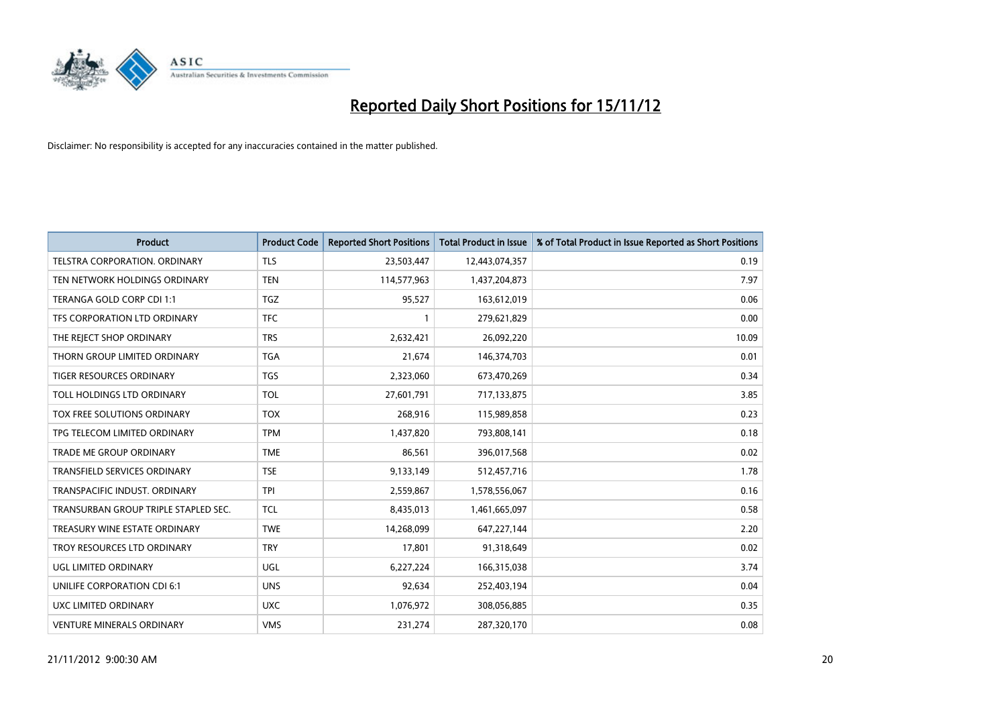

| <b>Product</b>                       | <b>Product Code</b> | <b>Reported Short Positions</b> | <b>Total Product in Issue</b> | % of Total Product in Issue Reported as Short Positions |
|--------------------------------------|---------------------|---------------------------------|-------------------------------|---------------------------------------------------------|
| <b>TELSTRA CORPORATION, ORDINARY</b> | <b>TLS</b>          | 23,503,447                      | 12,443,074,357                | 0.19                                                    |
| TEN NETWORK HOLDINGS ORDINARY        | <b>TEN</b>          | 114,577,963                     | 1,437,204,873                 | 7.97                                                    |
| TERANGA GOLD CORP CDI 1:1            | <b>TGZ</b>          | 95,527                          | 163,612,019                   | 0.06                                                    |
| TFS CORPORATION LTD ORDINARY         | <b>TFC</b>          |                                 | 279,621,829                   | 0.00                                                    |
| THE REJECT SHOP ORDINARY             | <b>TRS</b>          | 2,632,421                       | 26,092,220                    | 10.09                                                   |
| THORN GROUP LIMITED ORDINARY         | <b>TGA</b>          | 21,674                          | 146,374,703                   | 0.01                                                    |
| <b>TIGER RESOURCES ORDINARY</b>      | <b>TGS</b>          | 2,323,060                       | 673,470,269                   | 0.34                                                    |
| TOLL HOLDINGS LTD ORDINARY           | <b>TOL</b>          | 27,601,791                      | 717,133,875                   | 3.85                                                    |
| TOX FREE SOLUTIONS ORDINARY          | <b>TOX</b>          | 268,916                         | 115,989,858                   | 0.23                                                    |
| TPG TELECOM LIMITED ORDINARY         | <b>TPM</b>          | 1,437,820                       | 793,808,141                   | 0.18                                                    |
| <b>TRADE ME GROUP ORDINARY</b>       | <b>TME</b>          | 86,561                          | 396,017,568                   | 0.02                                                    |
| <b>TRANSFIELD SERVICES ORDINARY</b>  | <b>TSE</b>          | 9,133,149                       | 512,457,716                   | 1.78                                                    |
| TRANSPACIFIC INDUST, ORDINARY        | <b>TPI</b>          | 2,559,867                       | 1,578,556,067                 | 0.16                                                    |
| TRANSURBAN GROUP TRIPLE STAPLED SEC. | <b>TCL</b>          | 8,435,013                       | 1,461,665,097                 | 0.58                                                    |
| TREASURY WINE ESTATE ORDINARY        | <b>TWE</b>          | 14,268,099                      | 647,227,144                   | 2.20                                                    |
| TROY RESOURCES LTD ORDINARY          | <b>TRY</b>          | 17,801                          | 91,318,649                    | 0.02                                                    |
| UGL LIMITED ORDINARY                 | UGL                 | 6,227,224                       | 166,315,038                   | 3.74                                                    |
| UNILIFE CORPORATION CDI 6:1          | <b>UNS</b>          | 92,634                          | 252,403,194                   | 0.04                                                    |
| UXC LIMITED ORDINARY                 | <b>UXC</b>          | 1,076,972                       | 308,056,885                   | 0.35                                                    |
| <b>VENTURE MINERALS ORDINARY</b>     | <b>VMS</b>          | 231,274                         | 287,320,170                   | 0.08                                                    |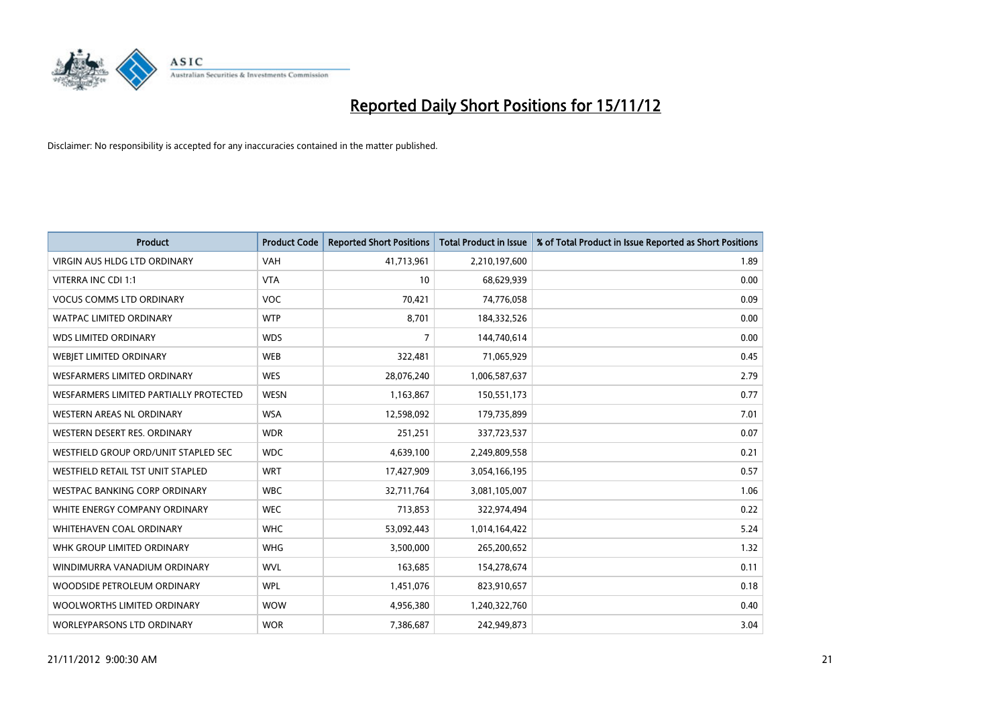

| <b>Product</b>                         | <b>Product Code</b> | <b>Reported Short Positions</b> | <b>Total Product in Issue</b> | % of Total Product in Issue Reported as Short Positions |
|----------------------------------------|---------------------|---------------------------------|-------------------------------|---------------------------------------------------------|
| <b>VIRGIN AUS HLDG LTD ORDINARY</b>    | <b>VAH</b>          | 41,713,961                      | 2,210,197,600                 | 1.89                                                    |
| VITERRA INC CDI 1:1                    | <b>VTA</b>          | 10                              | 68,629,939                    | 0.00                                                    |
| <b>VOCUS COMMS LTD ORDINARY</b>        | <b>VOC</b>          | 70,421                          | 74,776,058                    | 0.09                                                    |
| WATPAC LIMITED ORDINARY                | <b>WTP</b>          | 8,701                           | 184,332,526                   | 0.00                                                    |
| <b>WDS LIMITED ORDINARY</b>            | <b>WDS</b>          | 7                               | 144,740,614                   | 0.00                                                    |
| WEBIET LIMITED ORDINARY                | <b>WEB</b>          | 322,481                         | 71,065,929                    | 0.45                                                    |
| <b>WESFARMERS LIMITED ORDINARY</b>     | <b>WES</b>          | 28,076,240                      | 1,006,587,637                 | 2.79                                                    |
| WESFARMERS LIMITED PARTIALLY PROTECTED | <b>WESN</b>         | 1,163,867                       | 150,551,173                   | 0.77                                                    |
| <b>WESTERN AREAS NL ORDINARY</b>       | <b>WSA</b>          | 12,598,092                      | 179,735,899                   | 7.01                                                    |
| WESTERN DESERT RES. ORDINARY           | <b>WDR</b>          | 251,251                         | 337,723,537                   | 0.07                                                    |
| WESTFIELD GROUP ORD/UNIT STAPLED SEC   | <b>WDC</b>          | 4,639,100                       | 2,249,809,558                 | 0.21                                                    |
| WESTFIELD RETAIL TST UNIT STAPLED      | <b>WRT</b>          | 17,427,909                      | 3,054,166,195                 | 0.57                                                    |
| WESTPAC BANKING CORP ORDINARY          | <b>WBC</b>          | 32,711,764                      | 3,081,105,007                 | 1.06                                                    |
| WHITE ENERGY COMPANY ORDINARY          | <b>WEC</b>          | 713,853                         | 322,974,494                   | 0.22                                                    |
| WHITEHAVEN COAL ORDINARY               | <b>WHC</b>          | 53,092,443                      | 1,014,164,422                 | 5.24                                                    |
| WHK GROUP LIMITED ORDINARY             | <b>WHG</b>          | 3,500,000                       | 265,200,652                   | 1.32                                                    |
| WINDIMURRA VANADIUM ORDINARY           | <b>WVL</b>          | 163,685                         | 154,278,674                   | 0.11                                                    |
| WOODSIDE PETROLEUM ORDINARY            | <b>WPL</b>          | 1,451,076                       | 823,910,657                   | 0.18                                                    |
| WOOLWORTHS LIMITED ORDINARY            | <b>WOW</b>          | 4,956,380                       | 1,240,322,760                 | 0.40                                                    |
| <b>WORLEYPARSONS LTD ORDINARY</b>      | <b>WOR</b>          | 7,386,687                       | 242,949,873                   | 3.04                                                    |